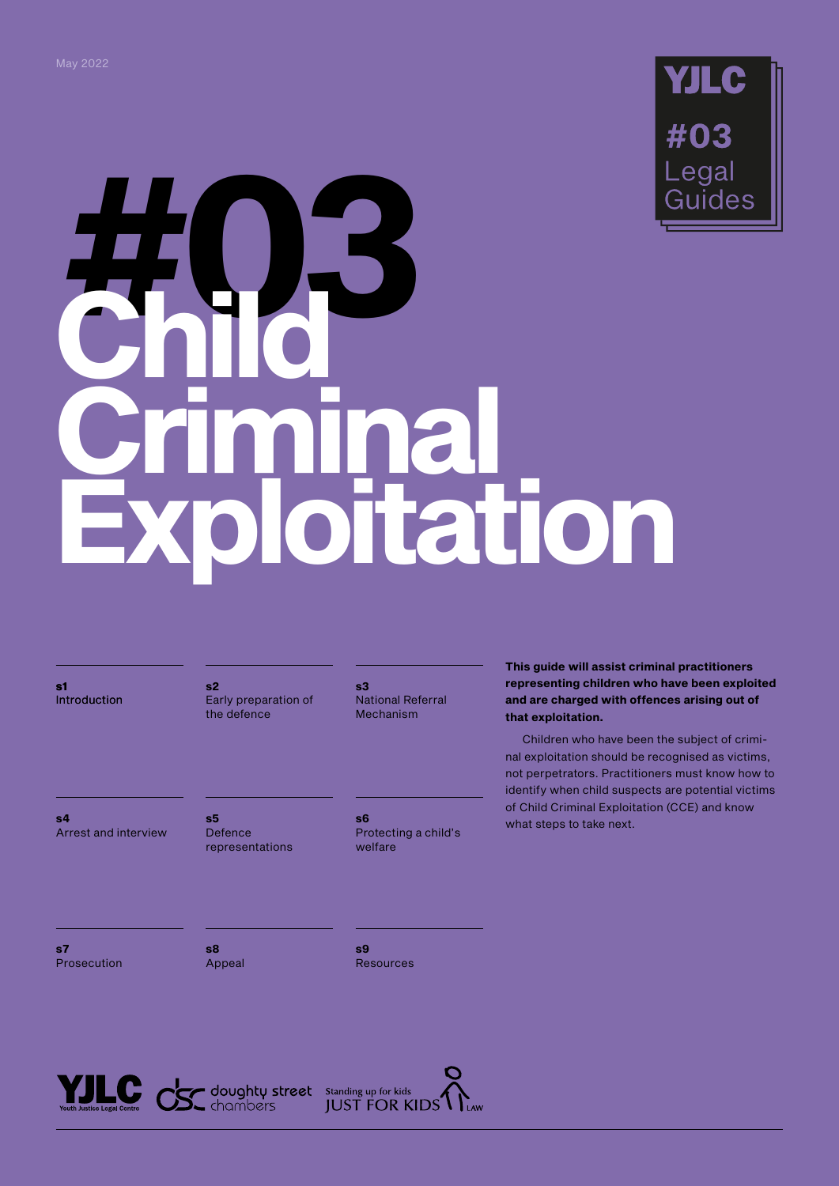## #03 -egal Guides

# **#03 Child Criminal Exploitation**

**s1** Introduction **s2** Early preparation of the defence

**s4** Arrest and interview

**s5** Defence representations National Referral Mechanism

**s3**

**s6**  Protecting a child's welfare

**This guide will assist criminal practitioners representing children who have been exploited and are charged with offences arising out of that exploitation.** 

Children who have been the subject of criminal exploitation should be recognised as victims, not perpetrators. Practitioners must know how to identify when child suspects are potential victims of Child Criminal Exploitation (CCE) and know what steps to take next.

**s7** Prosecution **s8** Appeal **s9** Resources





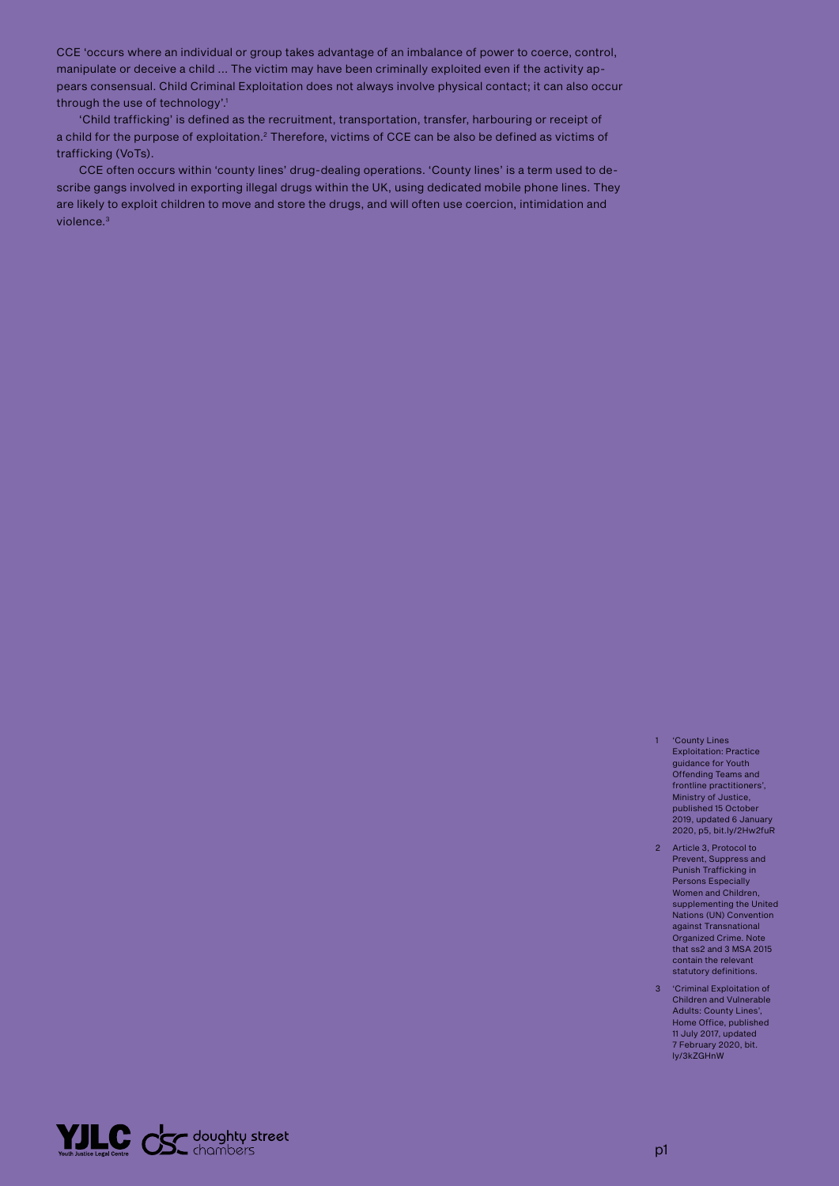CCE 'occurs where an individual or group takes advantage of an imbalance of power to coerce, control, manipulate or deceive a child ... The victim may have been criminally exploited even if the activity appears consensual. Child Criminal Exploitation does not always involve physical contact; it can also occur through the use of technology'.<sup>1</sup>

'Child trafficking' is defined as the recruitment, transportation, transfer, harbouring or receipt of a child for the purpose of exploitation.2 Therefore, victims of CCE can be also be defined as victims of trafficking (VoTs).

CCE often occurs within 'county lines' drug-dealing operations. 'County lines' is a term used to describe gangs involved in exporting illegal drugs within the UK, using dedicated mobile phone lines. They are likely to exploit children to move and store the drugs, and will often use coercion, intimidation and violence.3

- 1 'County Lines Exploitation: Practice guidance for Youth Offending Teams and frontline practitioners', Ministry of Justice, published 15 October 2019, updated 6 January 2020, p5, [bit.ly/2Hw2fuR](https://bit.ly/2Hw2fuR)
- 2 Article 3, Protocol to Prevent, Suppress and Punish Trafficking in Persons Especially Women and Children supplementing the United Nations (UN) Convention against Transnational Organized Crime. Note that ss2 and 3 MSA 2015 contain the relevant statutory definitions.
- 3 'Criminal Exploitation of Children and Vulnerable Adults: County Lines', Home Office, published 11 July 2017, updated 7 February 2020, [bit.](https://bit.ly/3kZGHnW) [ly/3kZGHnW](https://bit.ly/3kZGHnW)

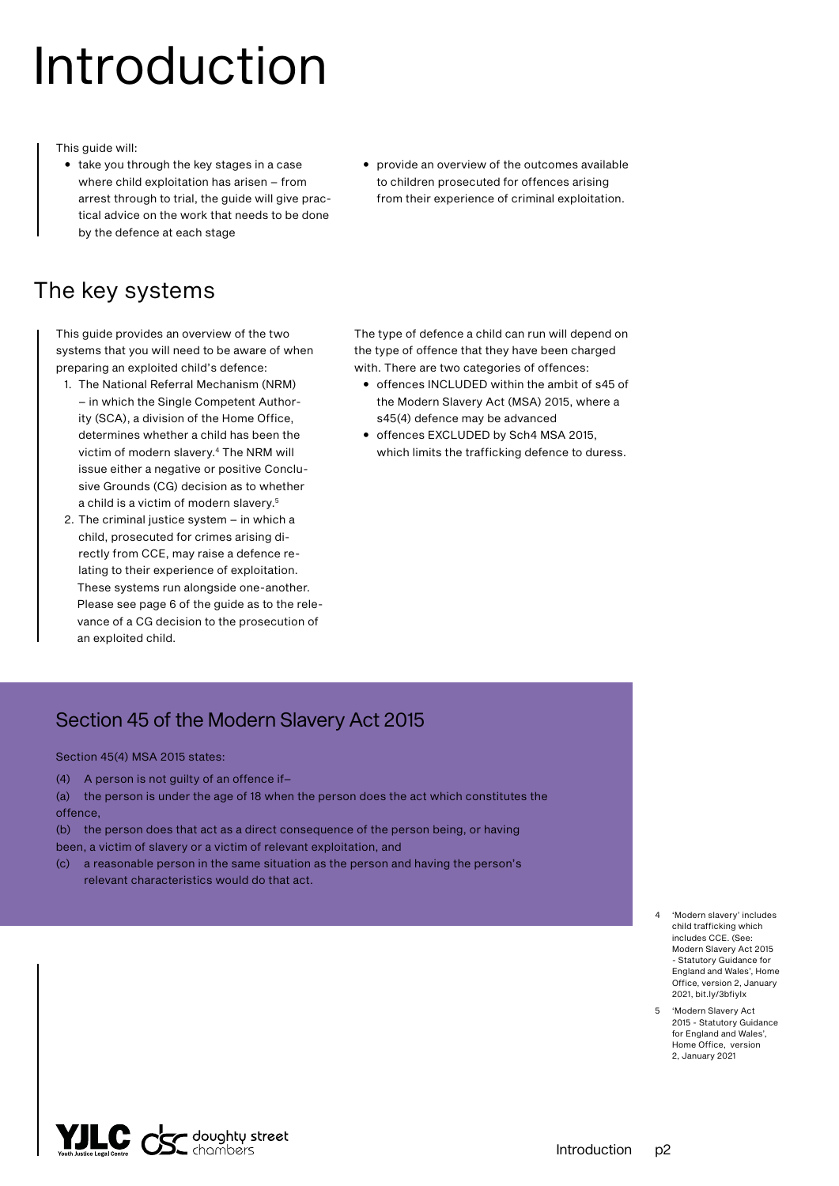# Introduction

This guide will:

- take you through the key stages in a case where child exploitation has arisen – from arrest through to trial, the guide will give practical advice on the work that needs to be done by the defence at each stage
- provide an overview of the outcomes available to children prosecuted for offences arising from their experience of criminal exploitation.

### The key systems

This guide provides an overview of the two systems that you will need to be aware of when preparing an exploited child's defence:

- 1. The National Referral Mechanism (NRM) – in which the Single Competent Authority (SCA), a division of the Home Office, determines whether a child has been the victim of modern slavery.4 The NRM will issue either a negative or positive Conclusive Grounds (CG) decision as to whether a child is a victim of modern slavery.5
- 2. The criminal justice system in which a child, prosecuted for crimes arising directly from CCE, may raise a defence relating to their experience of exploitation. These systems run alongside one-another. Please see page 6 of the guide as to the relevance of a CG decision to the prosecution of an exploited child.

The type of defence a child can run will depend on the type of offence that they have been charged with. There are two categories of offences:

- offences INCLUDED within the ambit of s45 of the Modern Slavery Act (MSA) 2015, where a s45(4) defence may be advanced
- offences EXCLUDED by Sch4 MSA 2015, which limits the trafficking defence to duress.

### Section 45 of the Modern Slavery Act 2015

Section 45(4) MSA 2015 states:

(4) A person is not guilty of an offence if–

(a) the person is under the age of 18 when the person does the act which constitutes the offence,

(b) the person does that act as a direct consequence of the person being, or having been, a victim of slavery or a victim of relevant exploitation, and

(c) a reasonable person in the same situation as the person and having the person's relevant characteristics would do that act.

- 4 'Modern slavery' includes child trafficking which includes CCE. (See: Modern Slavery Act 2015 - Statutory Guidance for England and Wales', Home Office, version 2, January 2021, [bit.ly/3bfiyIx](https://bit.ly/3bfiyIx)
- 5 'Modern Slavery Act 2015 - Statutory Guidance for England and Wales', Home Office, version 2, January 2021

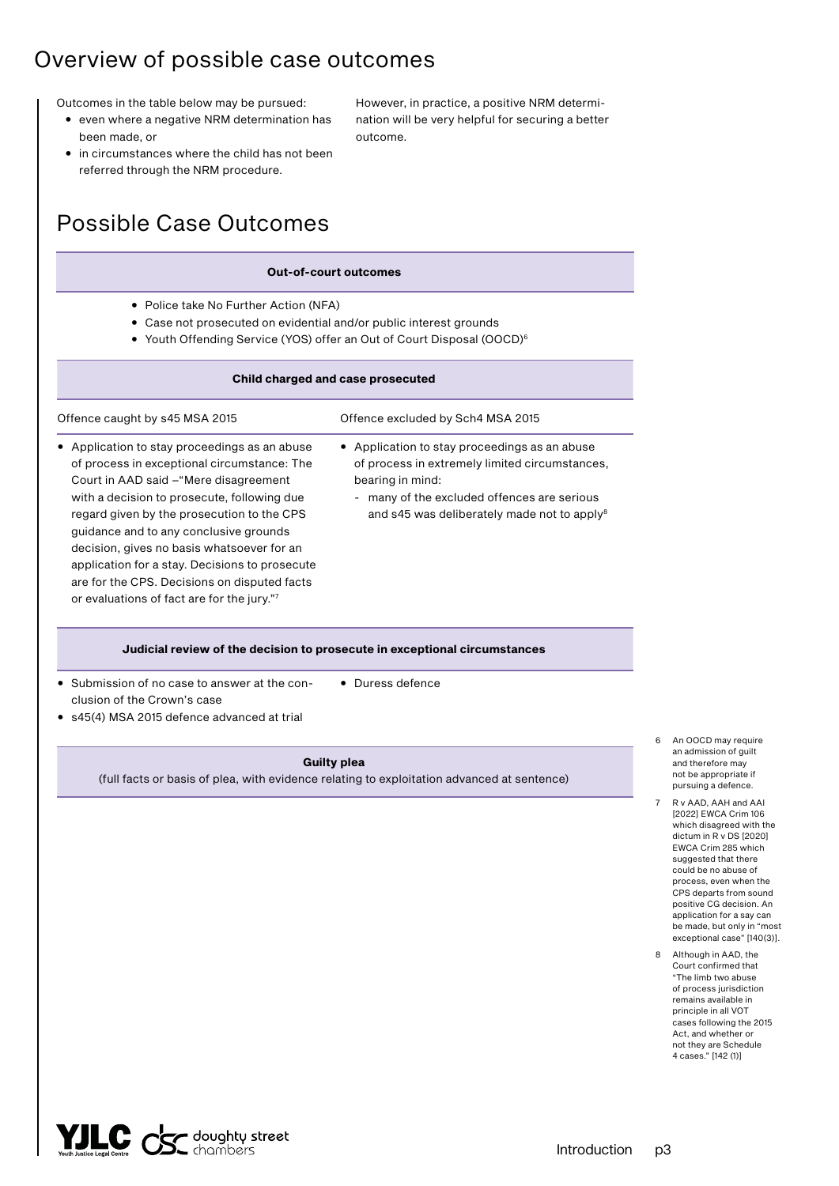### Overview of possible case outcomes

Outcomes in the table below may be pursued:

- even where a negative NRM determination has been made, or
- in circumstances where the child has not been referred through the NRM procedure.

### Possible Case Outcomes

#### **Out-of-court outcomes**

outcome.

However, in practice, a positive NRM determination will be very helpful for securing a better

- Police take No Further Action (NFA)
- Case not prosecuted on evidential and/or public interest grounds
- Youth Offending Service (YOS) offer an Out of Court Disposal (OOCD)<sup>6</sup>

| • Application to stay proceedings as an abuse<br>of process in extremely limited circumstances,                          |
|--------------------------------------------------------------------------------------------------------------------------|
| bearing in mind:<br>many of the excluded offences are serious<br>and s45 was deliberately made not to apply <sup>8</sup> |
|                                                                                                                          |

- 
- Submission of no case to answer at the conclusion of the Crown's case
- Duress defence
- s45(4) MSA 2015 defence advanced at trial

#### **Guilty plea**

(full facts or basis of plea, with evidence relating to exploitation advanced at sentence)

- 6 An OOCD may require an admission of guilt and therefore may not be appropriate if pursuing a defence.
- 7 R v AAD, AAH and AAI [2022] EWCA Crim 106 which disagreed with the dictum in R v DS [2020] EWCA Crim 285 which suggested that there could be no abuse of process, even when the CPS departs from sound positive CG decision. An application for a say can be made, but only in "most exceptional case" [140(3)].
- 8 Although in AAD, the Court confirmed that "The limb two abuse of process jurisdiction remains available in principle in all VOT cases following the 2015 Act, and whether or not they are Schedule 4 cases." [142 (1)]

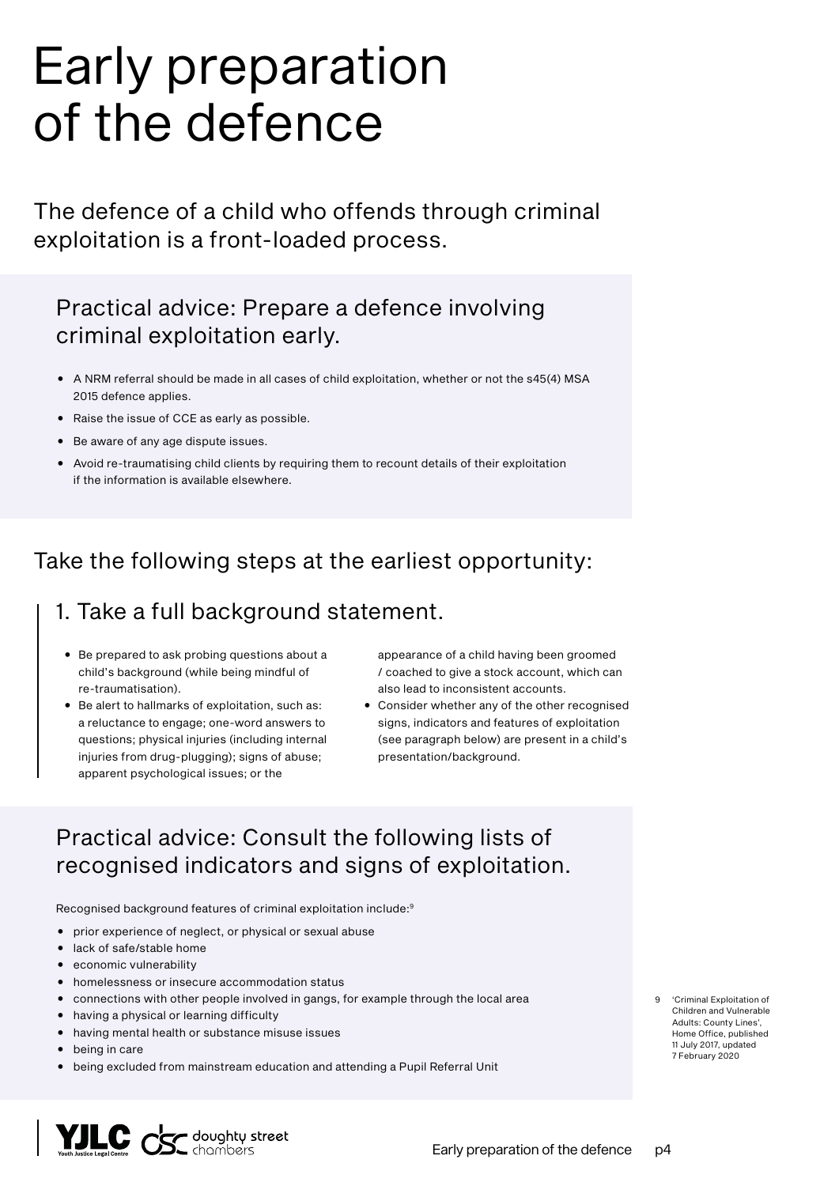# Early preparation of the defence

The defence of a child who offends through criminal exploitation is a front-loaded process.

### Practical advice: Prepare a defence involving criminal exploitation early.

- A NRM referral should be made in all cases of child exploitation, whether or not the s45(4) MSA 2015 defence applies.
- Raise the issue of CCE as early as possible.
- Be aware of any age dispute issues.
- Avoid re-traumatising child clients by requiring them to recount details of their exploitation if the information is available elsewhere.

### Take the following steps at the earliest opportunity:

### 1. Take a full background statement.

- Be prepared to ask probing questions about a child's background (while being mindful of re-traumatisation).
- Be alert to hallmarks of exploitation, such as: a reluctance to engage; one-word answers to questions; physical injuries (including internal injuries from drug-plugging); signs of abuse; apparent psychological issues; or the

appearance of a child having been groomed / coached to give a stock account, which can also lead to inconsistent accounts.

• Consider whether any of the other recognised signs, indicators and features of exploitation (see paragraph below) are present in a child's presentation/background.

### Practical advice: Consult the following lists of recognised indicators and signs of exploitation.

Recognised background features of criminal exploitation include:9

- prior experience of neglect, or physical or sexual abuse
- lack of safe/stable home
- economic vulnerability
- homelessness or insecure accommodation status
- connections with other people involved in gangs, for example through the local area
- having a physical or learning difficulty
- having mental health or substance misuse issues
- being in care
- being excluded from mainstream education and attending a Pupil Referral Unit

9 'Criminal Exploitation of Children and Vulnerable Adults: County Lines', Home Office, published 11 July 2017, updated 7 February 2020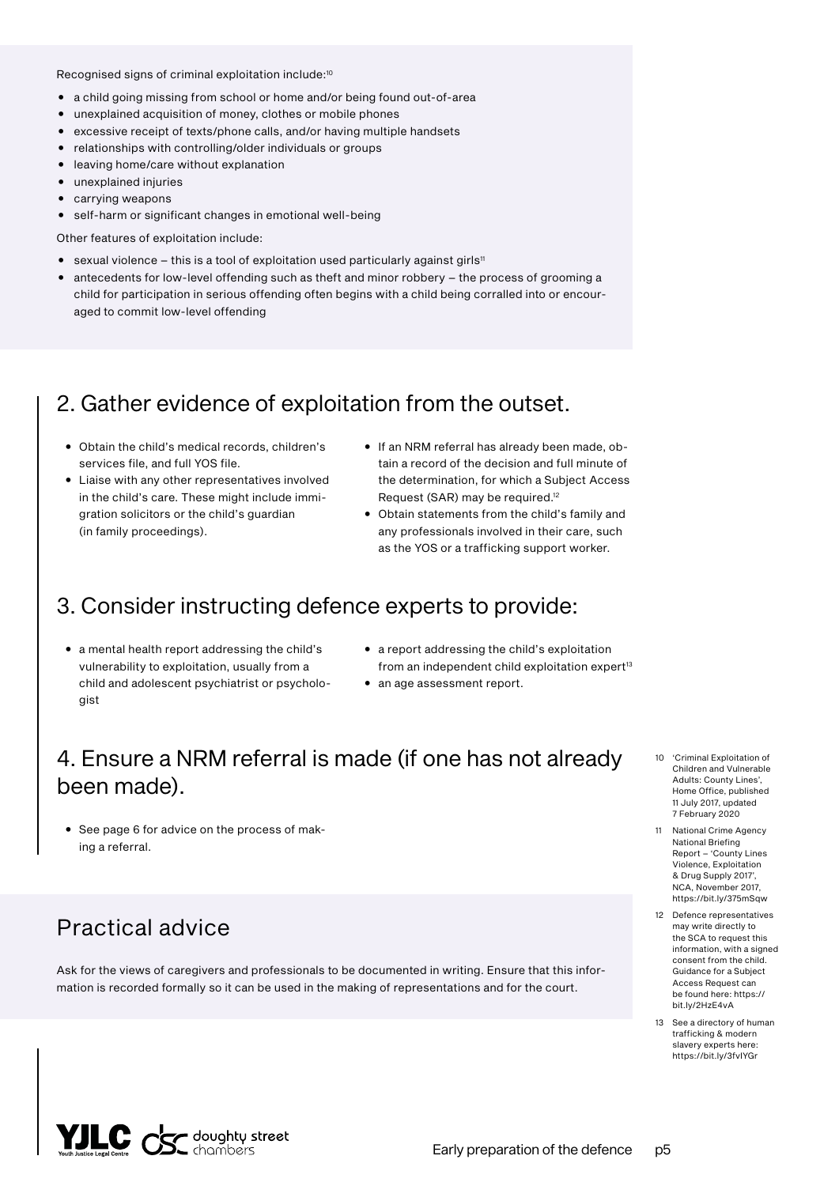Recognised signs of criminal exploitation include:10

- a child going missing from school or home and/or being found out-of-area
- unexplained acquisition of money, clothes or mobile phones
- excessive receipt of texts/phone calls, and/or having multiple handsets
- relationships with controlling/older individuals or groups
- leaving home/care without explanation
- unexplained injuries
- carrying weapons
- self-harm or significant changes in emotional well-being

Other features of exploitation include:

- $\bullet$  sexual violence this is a tool of exploitation used particularly against girls<sup>11</sup>
- antecedents for low-level offending such as theft and minor robbery the process of grooming a child for participation in serious offending often begins with a child being corralled into or encouraged to commit low-level offending

### 2. Gather evidence of exploitation from the outset.

- Obtain the child's medical records, children's services file, and full YOS file.
- Liaise with any other representatives involved in the child's care. These might include immigration solicitors or the child's guardian (in family proceedings).
- If an NRM referral has already been made, obtain a record of the decision and full minute of the determination, for which a Subject Access Request (SAR) may be required.12
- Obtain statements from the child's family and any professionals involved in their care, such as the YOS or a trafficking support worker.

#### 3. Consider instructing defence experts to provide:

- a mental health report addressing the child's vulnerability to exploitation, usually from a child and adolescent psychiatrist or psychologist
- a report addressing the child's exploitation from an independent child exploitation expert<sup>13</sup>
- an age assessment report.

### 4. Ensure a NRM referral is made (if one has not already been made).

• See page 6 for advice on the process of making a referral.

### Practical advice

Ask for the views of caregivers and professionals to be documented in writing. Ensure that this information is recorded formally so it can be used in the making of representations and for the court.

- 10 'Criminal Exploitation of Children and Vulnerable Adults: County Lines', Home Office, published 11 July 2017, updated 7 February 2020
- 11 National Crime Agency National Briefing Report – 'County Lines Violence, Exploitation & Drug Supply 2017', NCA, November 2017, <https://bit.ly/375mSqw>
- 12 Defence representatives may write directly to the SCA to request this information, with a signed consent from the child. Guidance for a Subject Access Request can be found here: [https://](https://bit.ly/2HzE4vA) [bit.ly/2HzE4vA](https://bit.ly/2HzE4vA)
- 13 See a directory of human trafficking & modern slavery experts here: <https://bit.ly/3fvIYGr>

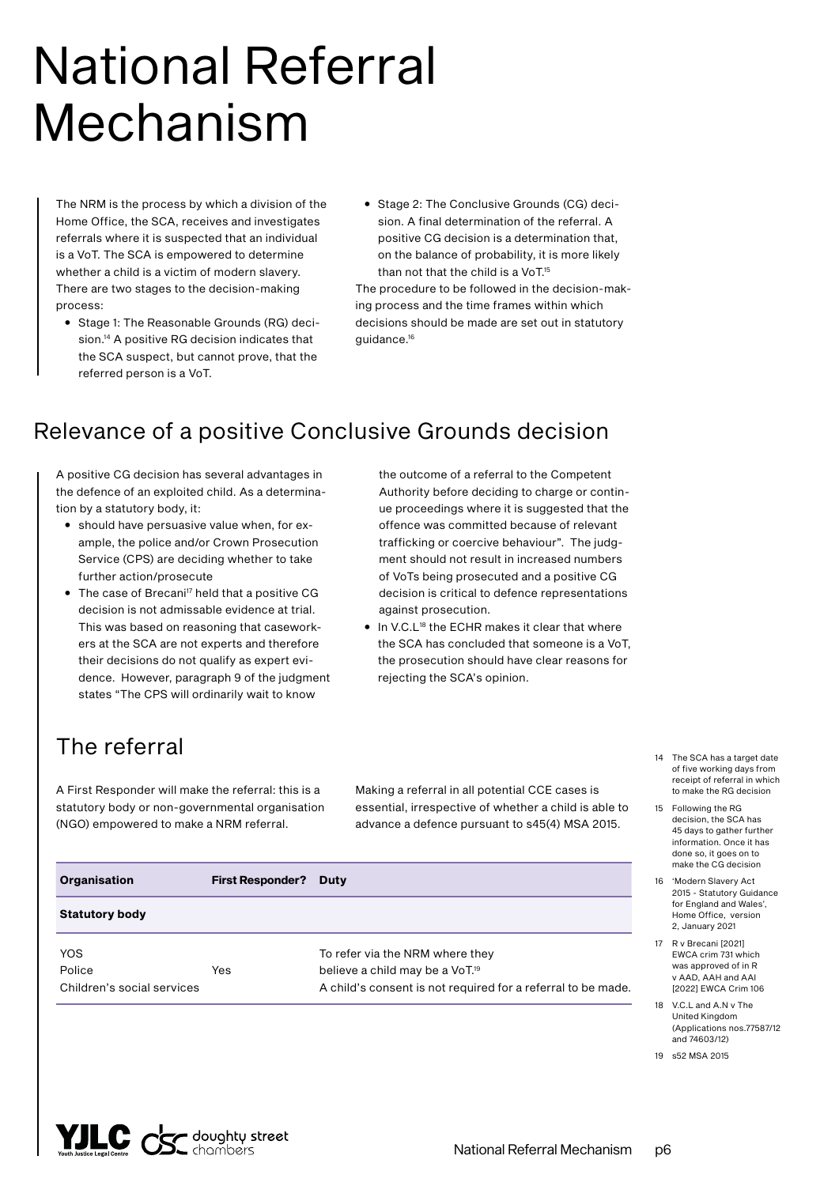# National Referral Mechanism

The NRM is the process by which a division of the Home Office, the SCA, receives and investigates referrals where it is suspected that an individual is a VoT. The SCA is empowered to determine whether a child is a victim of modern slavery. There are two stages to the decision-making process:

- Stage 1: The Reasonable Grounds (RG) decision.<sup>14</sup> A positive RG decision indicates that the SCA suspect, but cannot prove, that the referred person is a VoT.
- Stage 2: The Conclusive Grounds (CG) decision. A final determination of the referral. A positive CG decision is a determination that, on the balance of probability, it is more likely than not that the child is a VoT.<sup>15</sup>

The procedure to be followed in the decision-making process and the time frames within which decisions should be made are set out in statutory guidance.16

### Relevance of a positive Conclusive Grounds decision

A positive CG decision has several advantages in the defence of an exploited child. As a determination by a statutory body, it:

- should have persuasive value when, for example, the police and/or Crown Prosecution Service (CPS) are deciding whether to take further action/prosecute
- The case of Brecani<sup>17</sup> held that a positive CG decision is not admissable evidence at trial. This was based on reasoning that caseworkers at the SCA are not experts and therefore their decisions do not qualify as expert evidence. However, paragraph 9 of the judgment states "The CPS will ordinarily wait to know

the outcome of a referral to the Competent Authority before deciding to charge or continue proceedings where it is suggested that the offence was committed because of relevant trafficking or coercive behaviour". The judgment should not result in increased numbers of VoTs being prosecuted and a positive CG decision is critical to defence representations against prosecution.

• In V.C.L<sup>18</sup> the ECHR makes it clear that where the SCA has concluded that someone is a VoT, the prosecution should have clear reasons for rejecting the SCA's opinion.

### The referral

A First Responder will make the referral: this is a statutory body or non-governmental organisation (NGO) empowered to make a NRM referral.

Making a referral in all potential CCE cases is essential, irrespective of whether a child is able to advance a defence pursuant to s45(4) MSA 2015.

| Organisation                                       | <b>First Responder?</b> | <b>Duty</b>                                                                                                                                    | 16 | make the CG decision<br>'Modern Slavery Act<br>2015 - Statutory Guidance                                        |
|----------------------------------------------------|-------------------------|------------------------------------------------------------------------------------------------------------------------------------------------|----|-----------------------------------------------------------------------------------------------------------------|
| <b>Statutory body</b>                              |                         | for England and Wales',<br>Home Office, version<br>2, January 2021                                                                             |    |                                                                                                                 |
| <b>YOS</b><br>Police<br>Children's social services | Yes                     | To refer via the NRM where they<br>believe a child may be a VoT. <sup>19</sup><br>A child's consent is not required for a referral to be made. | 17 | R v Brecani [2021]<br>EWCA crim 731 which<br>was approved of in R<br>v AAD, AAH and AAI<br>[2022] EWCA Crim 106 |
|                                                    |                         |                                                                                                                                                | 18 | V.C.L and A.N v The                                                                                             |

 $\sum_{\text{Youth Justive Length}}$   $\sum_{\text{Center}}$  doughty street

14 The SCA has a target date of five working days from receipt of referral in which to make the RG decision 15 Following the RG decision, the SCA has 45 days to gather further information. Once it has done so, it goes on to

decision

United Kingdom (Applications nos.77587/12 and 74603/12) 19 s52 MSA 2015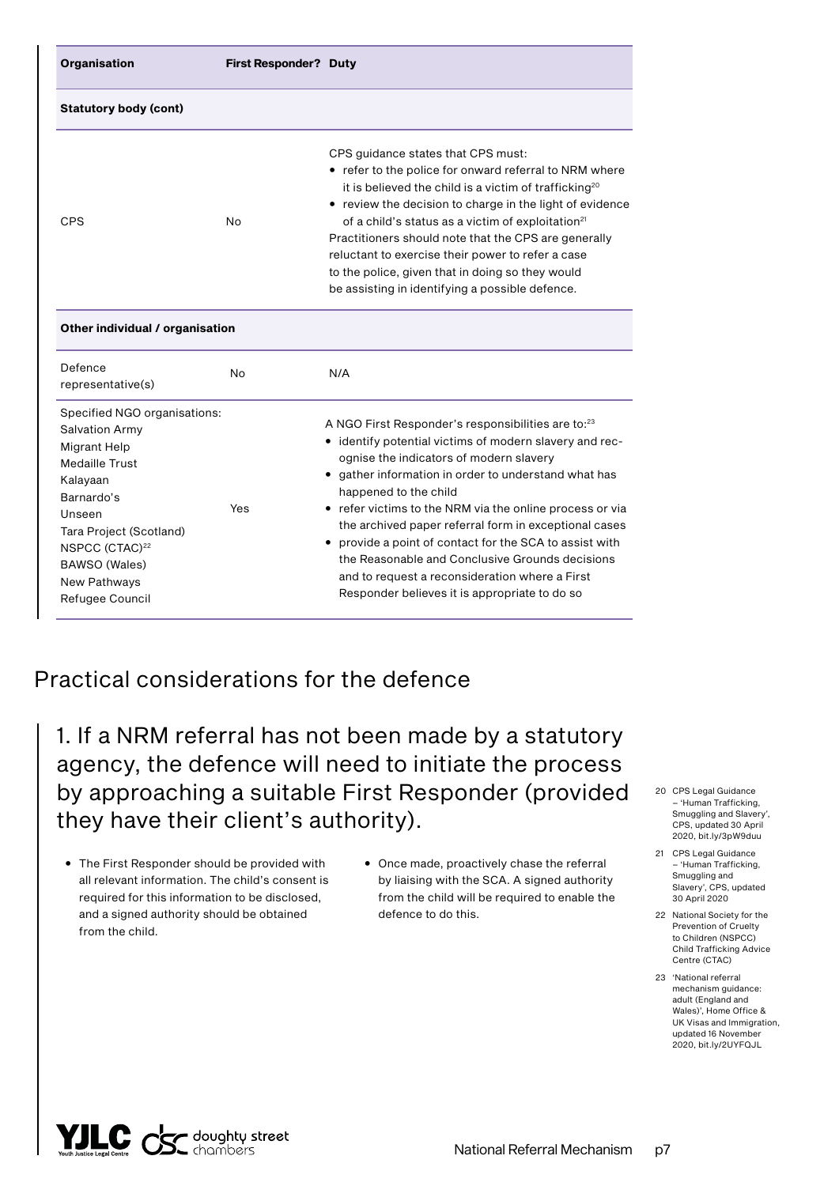| <b>Organisation</b>                                                                                                                                                                                                                      | <b>First Responder? Duty</b> |                                                                                                                                                                                                                                                                                                                                                                                                                                                                                                                                                                                 |
|------------------------------------------------------------------------------------------------------------------------------------------------------------------------------------------------------------------------------------------|------------------------------|---------------------------------------------------------------------------------------------------------------------------------------------------------------------------------------------------------------------------------------------------------------------------------------------------------------------------------------------------------------------------------------------------------------------------------------------------------------------------------------------------------------------------------------------------------------------------------|
| <b>Statutory body (cont)</b>                                                                                                                                                                                                             |                              |                                                                                                                                                                                                                                                                                                                                                                                                                                                                                                                                                                                 |
| <b>CPS</b>                                                                                                                                                                                                                               | No                           | CPS guidance states that CPS must:<br>• refer to the police for onward referral to NRM where<br>it is believed the child is a victim of trafficking <sup>20</sup><br>• review the decision to charge in the light of evidence<br>of a child's status as a victim of exploitation <sup>21</sup><br>Practitioners should note that the CPS are generally<br>reluctant to exercise their power to refer a case<br>to the police, given that in doing so they would<br>be assisting in identifying a possible defence.                                                              |
| Other individual / organisation                                                                                                                                                                                                          |                              |                                                                                                                                                                                                                                                                                                                                                                                                                                                                                                                                                                                 |
| Defence<br>representative(s)                                                                                                                                                                                                             | <b>No</b>                    | N/A                                                                                                                                                                                                                                                                                                                                                                                                                                                                                                                                                                             |
| Specified NGO organisations:<br><b>Salvation Army</b><br>Migrant Help<br>Medaille Trust<br>Kalayaan<br>Barnardo's<br>Unseen<br>Tara Project (Scotland)<br>NSPCC (CTAC) <sup>22</sup><br>BAWSO (Wales)<br>New Pathways<br>Refugee Council | Yes                          | A NGO First Responder's responsibilities are to:23<br>• identify potential victims of modern slavery and rec-<br>ognise the indicators of modern slavery<br>• gather information in order to understand what has<br>happened to the child<br>• refer victims to the NRM via the online process or via<br>the archived paper referral form in exceptional cases<br>• provide a point of contact for the SCA to assist with<br>the Reasonable and Conclusive Grounds decisions<br>and to request a reconsideration where a First<br>Responder believes it is appropriate to do so |

### Practical considerations for the defence

1. If a NRM referral has not been made by a statutory agency, the defence will need to initiate the process by approaching a suitable First Responder (provided they have their client's authority).

- The First Responder should be provided with all relevant information. The child's consent is required for this information to be disclosed, and a signed authority should be obtained from the child.
- Once made, proactively chase the referral by liaising with the SCA. A signed authority from the child will be required to enable the defence to do this.
- 20 CPS Legal Guidance – 'Human Trafficking, Smuggling and Slavery', CPS, updated 30 April 2020, [bit.ly/3pW9duu](https://bit.ly/3pW9duu)
- 21 CPS Legal Guidance – 'Human Trafficking, Smuggling and Slavery', CPS, updated 30 April 2020
- 22 National Society for the Prevention of Cruelty to Children (NSPCC) Child Trafficking Advice Centre (CTAC)
- 23 'National referral mechanism guidance: adult (England and Wales)', Home Office & UK Visas and Immigration, updated 16 November 2020, [bit.ly/2UYFQJL](https://bit.ly/2UYFQJL)

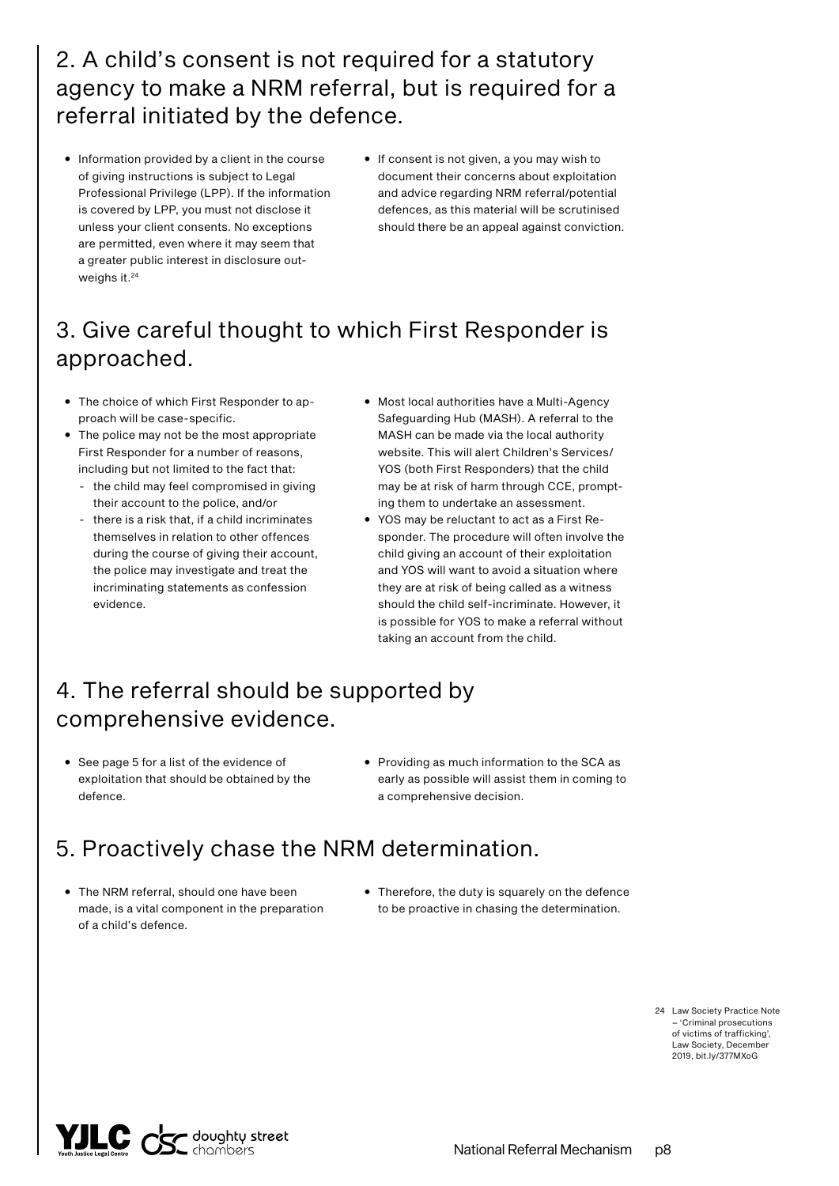### 2. A child's consent is not required for a statutory agency to make a NRM referral, but is required for a referral initiated by the defence.

- Information provided by a client in the course of giving instructions is subject to Legal Professional Privilege (LPP). If the information is covered by LPP, you must not disclose it unless your client consents. No exceptions are permitted, even where it may seem that a greater public interest in disclosure outweighs it.<sup>24</sup>
- If consent is not given, a you may wish to document their concerns about exploitation and advice regarding NRM referral/potential defences, as this material will be scrutinised should there be an appeal against conviction.

### 3. Give careful thought to which First Responder is approached.

- The choice of which First Responder to approach will be case-specific.
- The police may not be the most appropriate First Responder for a number of reasons, including but not limited to the fact that:
	- the child may feel compromised in giving their account to the police, and/or
	- there is a risk that, if a child incriminates themselves in relation to other offences during the course of giving their account, the police may investigate and treat the incriminating statements as confession evidence.
- Most local authorities have a Multi-Agency Safeguarding Hub (MASH). A referral to the MASH can be made via the local authority website. This will alert Children's Services/ YOS (both First Responders) that the child may be at risk of harm through CCE, prompting them to undertake an assessment.
- YOS may be reluctant to act as a First Responder. The procedure will often involve the child giving an account of their exploitation and YOS will want to avoid a situation where they are at risk of being called as a witness should the child self-incriminate. However, it is possible for YOS to make a referral without taking an account from the child.

### 4. The referral should be supported by comprehensive evidence.

- See page 5 for a list of the evidence of exploitation that should be obtained by the defence.
- Providing as much information to the SCA as early as possible will assist them in coming to a comprehensive decision.

### 5. Proactively chase the NRM determination.

- The NRM referral, should one have been made, is a vital component in the preparation of a child's defence.
- Therefore, the duty is squarely on the defence to be proactive in chasing the determination.

24 Law Society Practice Note – 'Criminal prosecutions of victims of trafficking', Law Society, December 2019, [bit.ly/377MXoG](https://bit.ly/377MXoG)

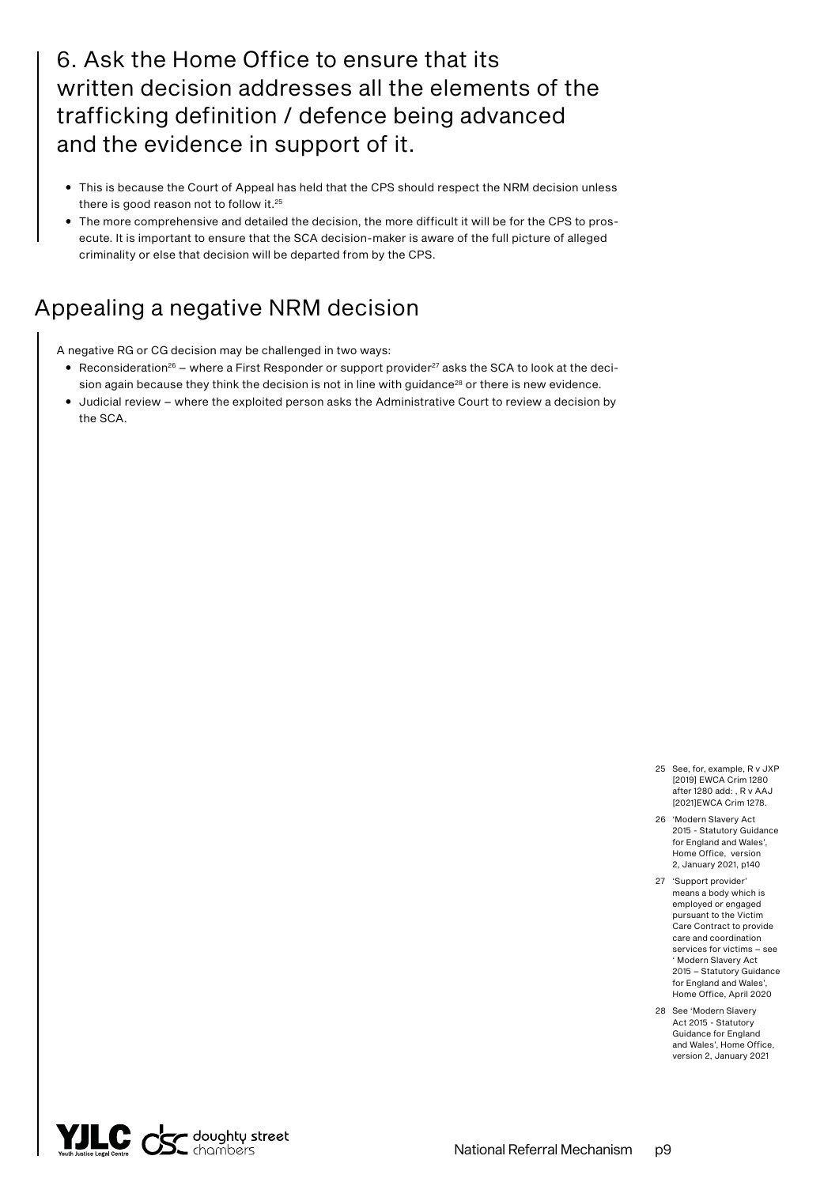6. Ask the Home Office to ensure that its written decision addresses all the elements of the trafficking definition / defence being advanced and the evidence in support of it.

- This is because the Court of Appeal has held that the CPS should respect the NRM decision unless there is good reason not to follow it.25
- The more comprehensive and detailed the decision, the more difficult it will be for the CPS to prosecute. It is important to ensure that the SCA decision-maker is aware of the full picture of alleged criminality or else that decision will be departed from by the CPS.

### Appealing a negative NRM decision

A negative RG or CG decision may be challenged in two ways:

- Reconsideration<sup>26</sup> where a First Responder or support provider<sup>27</sup> asks the SCA to look at the decision again because they think the decision is not in line with guidance<sup>28</sup> or there is new evidence.
- Judicial review where the exploited person asks the Administrative Court to review a decision by the SCA.

- 25 See, for, example, R v JXP [2019] EWCA Crim 1280 after 1280 add: , R v AAJ [2021]EWCA Crim 1278.
- 26 'Modern Slavery Act 2015 - Statutory Guidance for England and Wales', Home Office, version 2, January 2021, p140
- 27 'Support provider' means a body which is employed or engaged pursuant to the Victim Care Contract to provide care and coordination services for victims – see ' Modern Slavery Act 2015 – Statutory Guidance for England and Wales' Home Office, April 2020
- 28 See 'Modern Slavery Act 2015 - Statutory Guidance for England and Wales', Home Office, version 2, January 2021

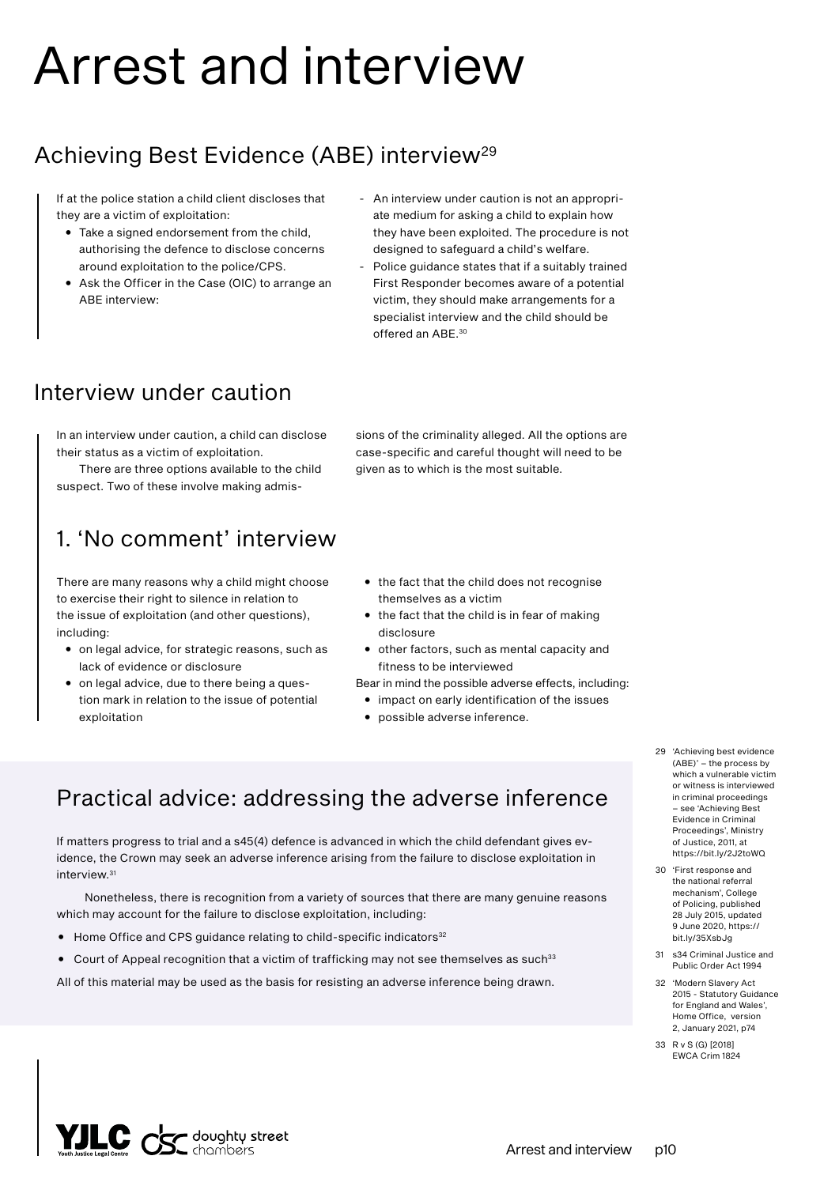# Arrest and interview

### Achieving Best Evidence (ABE) interview<sup>29</sup>

If at the police station a child client discloses that they are a victim of exploitation:

- Take a signed endorsement from the child, authorising the defence to disclose concerns around exploitation to the police/CPS.
- Ask the Officer in the Case (OIC) to arrange an ABE interview:
- An interview under caution is not an appropriate medium for asking a child to explain how they have been exploited. The procedure is not designed to safeguard a child's welfare.
- Police guidance states that if a suitably trained First Responder becomes aware of a potential victim, they should make arrangements for a specialist interview and the child should be offered an ABF 30

### Interview under caution

In an interview under caution, a child can disclose their status as a victim of exploitation.

There are three options available to the child suspect. Two of these involve making admis-

### 1. 'No comment' interview

There are many reasons why a child might choose to exercise their right to silence in relation to the issue of exploitation (and other questions), including:

- on legal advice, for strategic reasons, such as lack of evidence or disclosure
- on legal advice, due to there being a question mark in relation to the issue of potential exploitation
- sions of the criminality alleged. All the options are case-specific and careful thought will need to be given as to which is the most suitable.
- the fact that the child does not recognise themselves as a victim
- the fact that the child is in fear of making disclosure
- other factors, such as mental capacity and fitness to be interviewed

Bear in mind the possible adverse effects, including:

- impact on early identification of the issues
- possible adverse inference.

### Practical advice: addressing the adverse inference

If matters progress to trial and a s45(4) defence is advanced in which the child defendant gives evidence, the Crown may seek an adverse inference arising from the failure to disclose exploitation in interview.31

Nonetheless, there is recognition from a variety of sources that there are many genuine reasons which may account for the failure to disclose exploitation, including:

- $\bullet$  Home Office and CPS guidance relating to child-specific indicators<sup>32</sup>
- Court of Appeal recognition that a victim of trafficking may not see themselves as such<sup>33</sup>

All of this material may be used as the basis for resisting an adverse inference being drawn.

- 29 'Achieving best evidence (ABE)' – the process by which a vulnerable victim or witness is interviewed in criminal proceedings – see 'Achieving Best Evidence in Criminal Proceedings', Ministry of Justice, 2011, at <https://bit.ly/2J2toWQ>
- 30 'First response and the national referral mechanism', College of Policing, published 28 July 2015, updated 9 June 2020, [https://](https://bit.ly/35XsbJg) [bit.ly/35XsbJg](https://bit.ly/35XsbJg)
- 31 s34 Criminal Justice and Public Order Act 1994
- 32 'Modern Slavery Act 2015 - Statutory Guidance for England and Wales', Home Office, version 2, January 2021, p74
- 33 R v S (G) [2018] EWCA Crim 1824

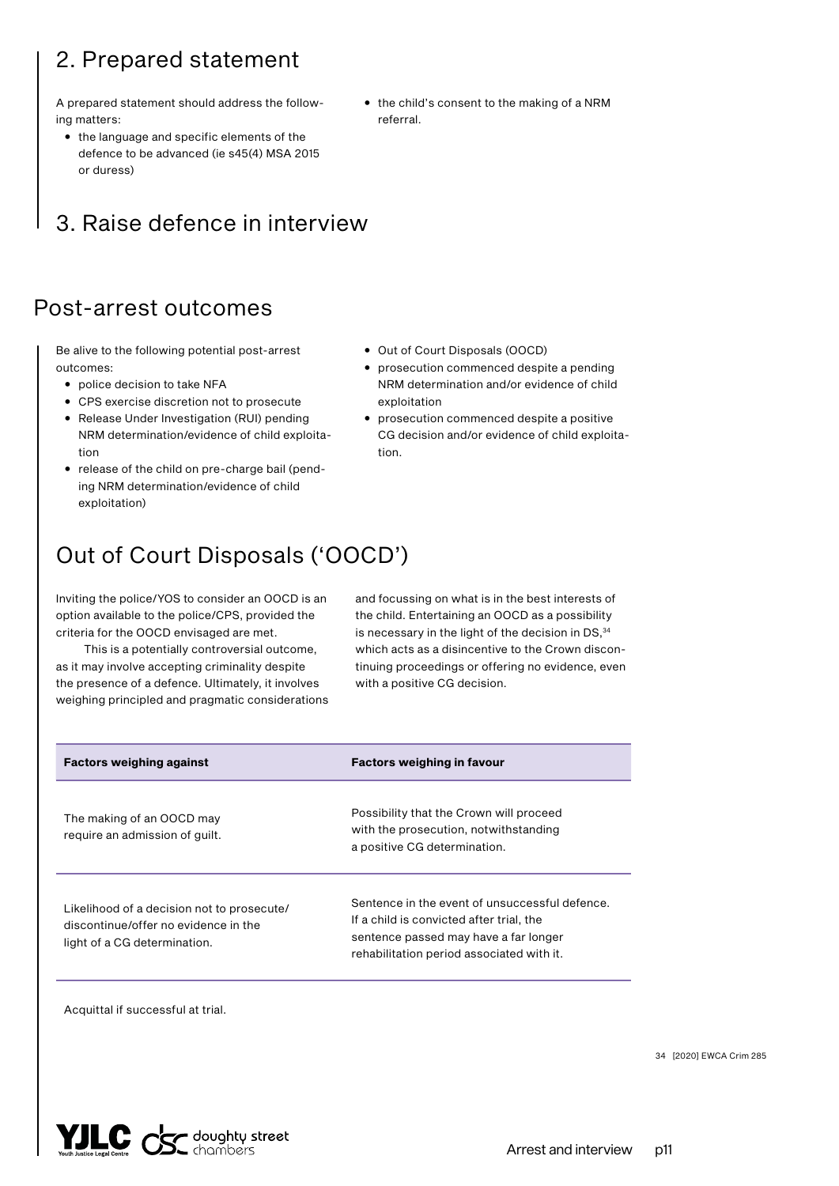### 2. Prepared statement

A prepared statement should address the following matters:

• the language and specific elements of the defence to be advanced (ie s45(4) MSA 2015 or duress)

### 3. Raise defence in interview

### Post-arrest outcomes

Be alive to the following potential post-arrest outcomes:

- police decision to take NFA
- CPS exercise discretion not to prosecute
- Release Under Investigation (RUI) pending NRM determination/evidence of child exploitation
- release of the child on pre-charge bail (pending NRM determination/evidence of child exploitation)

• the child's consent to the making of a NRM referral.

- Out of Court Disposals (OOCD)
- prosecution commenced despite a pending NRM determination and/or evidence of child exploitation
- prosecution commenced despite a positive CG decision and/or evidence of child exploitation.

### Out of Court Disposals ('OOCD')

Inviting the police/YOS to consider an OOCD is an option available to the police/CPS, provided the criteria for the OOCD envisaged are met.

This is a potentially controversial outcome, as it may involve accepting criminality despite the presence of a defence. Ultimately, it involves weighing principled and pragmatic considerations and focussing on what is in the best interests of the child. Entertaining an OOCD as a possibility is necessary in the light of the decision in DS, 34 which acts as a disincentive to the Crown discontinuing proceedings or offering no evidence, even with a positive CG decision.

| <b>Factors weighing against</b>                                                                                    | <b>Factors weighing in favour</b>                                                                                                                                                |
|--------------------------------------------------------------------------------------------------------------------|----------------------------------------------------------------------------------------------------------------------------------------------------------------------------------|
| The making of an OOCD may<br>require an admission of quilt.                                                        | Possibility that the Crown will proceed<br>with the prosecution, notwithstanding<br>a positive CG determination.                                                                 |
| Likelihood of a decision not to prosecute/<br>discontinue/offer no evidence in the<br>light of a CG determination. | Sentence in the event of unsuccessful defence.<br>If a child is convicted after trial, the<br>sentence passed may have a far longer<br>rehabilitation period associated with it. |

Acquittal if successful at trial.

34 [2020] EWCA Crim 285

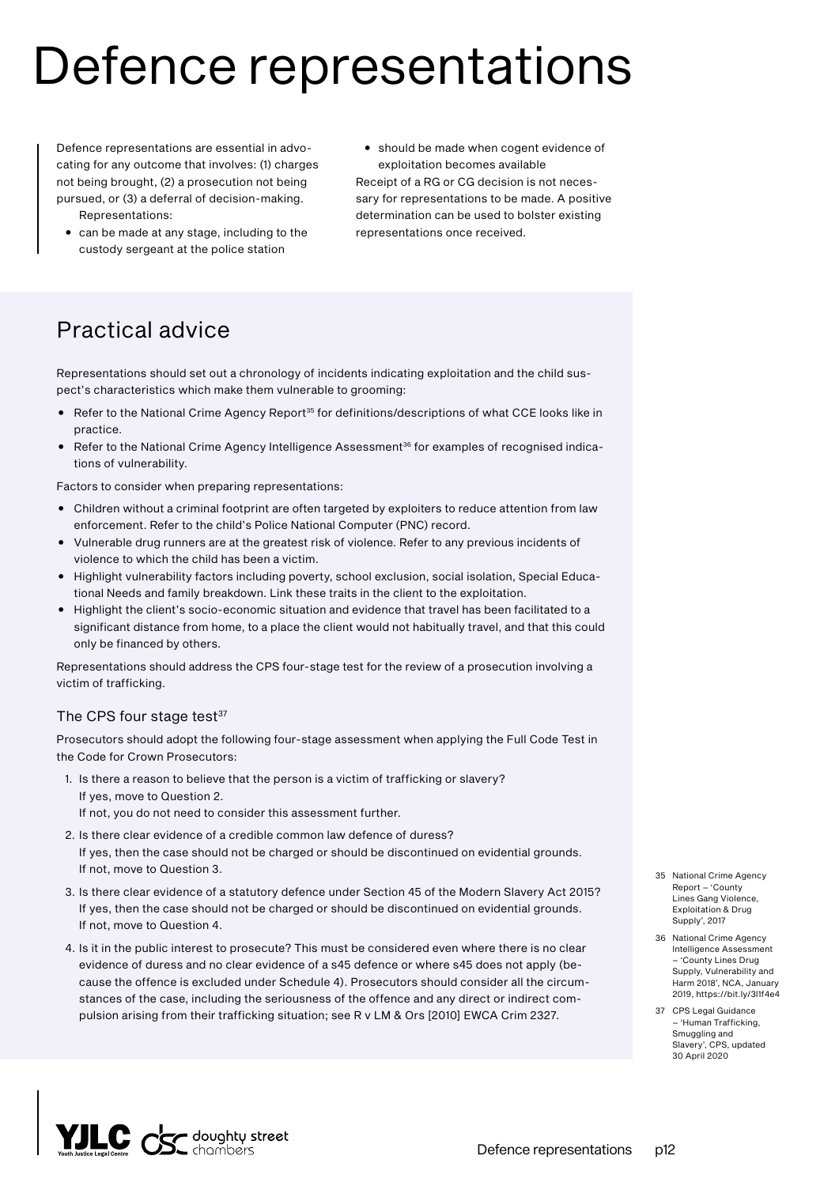# Defence representations

Defence representations are essential in advocating for any outcome that involves: (1) charges not being brought, (2) a prosecution not being pursued, or (3) a deferral of decision-making. Representations:

- can be made at any stage, including to the custody sergeant at the police station
- should be made when cogent evidence of exploitation becomes available Receipt of a RG or CG decision is not necessary for representations to be made. A positive determination can be used to bolster existing representations once received.

### Practical advice

Representations should set out a chronology of incidents indicating exploitation and the child suspect's characteristics which make them vulnerable to grooming:

- Refer to the National Crime Agency Report<sup>35</sup> for definitions/descriptions of what CCE looks like in practice.
- Refer to the National Crime Agency Intelligence Assessment<sup>36</sup> for examples of recognised indications of vulnerability.

Factors to consider when preparing representations:

- Children without a criminal footprint are often targeted by exploiters to reduce attention from law enforcement. Refer to the child's Police National Computer (PNC) record.
- Vulnerable drug runners are at the greatest risk of violence. Refer to any previous incidents of violence to which the child has been a victim.
- Highlight vulnerability factors including poverty, school exclusion, social isolation, Special Educational Needs and family breakdown. Link these traits in the client to the exploitation.
- Highlight the client's socio-economic situation and evidence that travel has been facilitated to a significant distance from home, to a place the client would not habitually travel, and that this could only be financed by others.

Representations should address the CPS four-stage test for the review of a prosecution involving a victim of trafficking.

#### The CPS four stage test<sup>37</sup>

Prosecutors should adopt the following four-stage assessment when applying the Full Code Test in the Code for Crown Prosecutors:

- 1. Is there a reason to believe that the person is a victim of trafficking or slavery? If yes, move to Question 2.
- If not, you do not need to consider this assessment further.
- 2. Is there clear evidence of a credible common law defence of duress? If yes, then the case should not be charged or should be discontinued on evidential grounds. If not, move to Question 3.
- 3. Is there clear evidence of a statutory defence under Section 45 of the Modern Slavery Act 2015? If yes, then the case should not be charged or should be discontinued on evidential grounds. If not, move to Question 4.
- 4. Is it in the public interest to prosecute? This must be considered even where there is no clear evidence of duress and no clear evidence of a s45 defence or where s45 does not apply (because the offence is excluded under Schedule 4). Prosecutors should consider all the circumstances of the case, including the seriousness of the offence and any direct or indirect compulsion arising from their trafficking situation; see R v LM & Ors [2010] EWCA Crim 2327.
- 35 National Crime Agency Report – 'County Lines Gang Violence, Exploitation & Drug Supply', 2017
- 36 National Crime Agency Intelligence Assessment – 'County Lines Drug Supply, Vulnerability and Harm 2018', NCA, January 2019,<https://bit.ly/3l1f4e4>
- 37 CPS Legal Guidance – 'Human Trafficking, Smuggling and Slavery' CPS, updated 30 April 2020

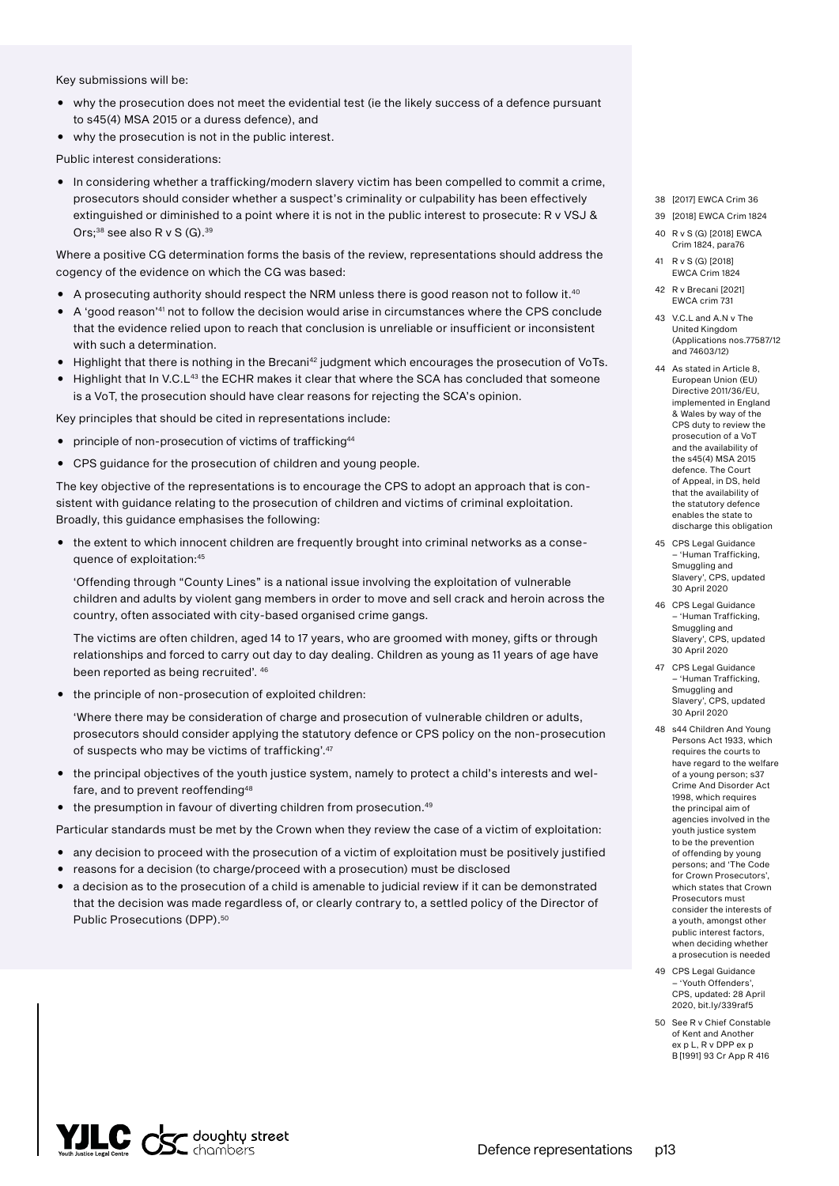Key submissions will be:

- why the prosecution does not meet the evidential test (ie the likely success of a defence pursuant to s45(4) MSA 2015 or a duress defence), and
- why the prosecution is not in the public interest.

Public interest considerations:

• In considering whether a trafficking/modern slavery victim has been compelled to commit a crime, prosecutors should consider whether a suspect's criminality or culpability has been effectively extinguished or diminished to a point where it is not in the public interest to prosecute: R v VSJ & Ors; $38$  see also R v S (G). $39$ 

Where a positive CG determination forms the basis of the review, representations should address the cogency of the evidence on which the CG was based:

- A prosecuting authority should respect the NRM unless there is good reason not to follow it.<sup>40</sup>
- A 'good reason'41 not to follow the decision would arise in circumstances where the CPS conclude that the evidence relied upon to reach that conclusion is unreliable or insufficient or inconsistent with such a determination.
- Highlight that there is nothing in the Brecani<sup>42</sup> judgment which encourages the prosecution of VoTs.
- Highlight that In V.C.L43 the ECHR makes it clear that where the SCA has concluded that someone is a VoT, the prosecution should have clear reasons for rejecting the SCA's opinion.

Key principles that should be cited in representations include:

- principle of non-prosecution of victims of trafficking<sup>44</sup>
- CPS guidance for the prosecution of children and young people.

The key objective of the representations is to encourage the CPS to adopt an approach that is consistent with guidance relating to the prosecution of children and victims of criminal exploitation. Broadly, this guidance emphasises the following:

• the extent to which innocent children are frequently brought into criminal networks as a consequence of exploitation:45

'Offending through "County Lines" is a national issue involving the exploitation of vulnerable children and adults by violent gang members in order to move and sell crack and heroin across the country, often associated with city-based organised crime gangs.

The victims are often children, aged 14 to 17 years, who are groomed with money, gifts or through relationships and forced to carry out day to day dealing. Children as young as 11 years of age have been reported as being recruited'. 46

• the principle of non-prosecution of exploited children:

'Where there may be consideration of charge and prosecution of vulnerable children or adults, prosecutors should consider applying the statutory defence or CPS policy on the non-prosecution of suspects who may be victims of trafficking'.47

- the principal objectives of the youth justice system, namely to protect a child's interests and welfare, and to prevent reoffending<sup>48</sup>
- the presumption in favour of diverting children from prosecution.<sup>49</sup>

Particular standards must be met by the Crown when they review the case of a victim of exploitation:

- any decision to proceed with the prosecution of a victim of exploitation must be positively justified
- reasons for a decision (to charge/proceed with a prosecution) must be disclosed
- a decision as to the prosecution of a child is amenable to judicial review if it can be demonstrated that the decision was made regardless of, or clearly contrary to, a settled policy of the Director of Public Prosecutions (DPP).<sup>50</sup>



- 39 [2018] EWCA Crim 1824
- 40 R v S (G) [2018] EWCA Crim 1824, para76
- 41 R v S (G) [2018] EWCA Crim 1824
- 42 R v Brecani [2021] EWCA crim 731
- 43 V.C.L and A.N v The United Kingdom (Applications nos.77587/12 and 74603/12)
- 44 As stated in Article 8, European Union (EU) Directive 2011/36/EU, implemented in England & Wales by way of the CPS duty to review the prosecution of a VoT and the availability of the s45(4) MSA 2015 defence. The Court of Appeal, in DS, held that the availability of the statutory defence enables the state to discharge this obligation
- 45 CPS Legal Guidance – 'Human Trafficking, Smuggling and Slavery', CPS, updated 30 April 2020
- 46 CPS Legal Guidance – 'Human Trafficking, Smuggling and Slavery', CPS, updated 30 April 2020
- 47 CPS Legal Guidance – 'Human Trafficking, Smuggling and Slavery', CPS, updated 30 April 2020
- 48 s44 Children And Young Persons Act 1933, which requires the courts to have regard to the welfare of a young person; s37 Crime And Disorder Act 1998, which requires the principal aim of agencies involved in the youth justice system to be the prevention of offending by young persons; and 'The Code for Crown Prosecutors', which states that Crown Prosecutors must consider the interests of a youth, amongst other public interest factors, when deciding whether a prosecution is needed
- 49 CPS Legal Guidance – 'Youth Offenders', CPS, updated: 28 April 2020, [bit.ly/339raf5](https://bit.ly/339raf5)
- 50 See R v Chief Constable of Kent and Another ex p L, R v DPP ex p B [1991] 93 Cr App R 416

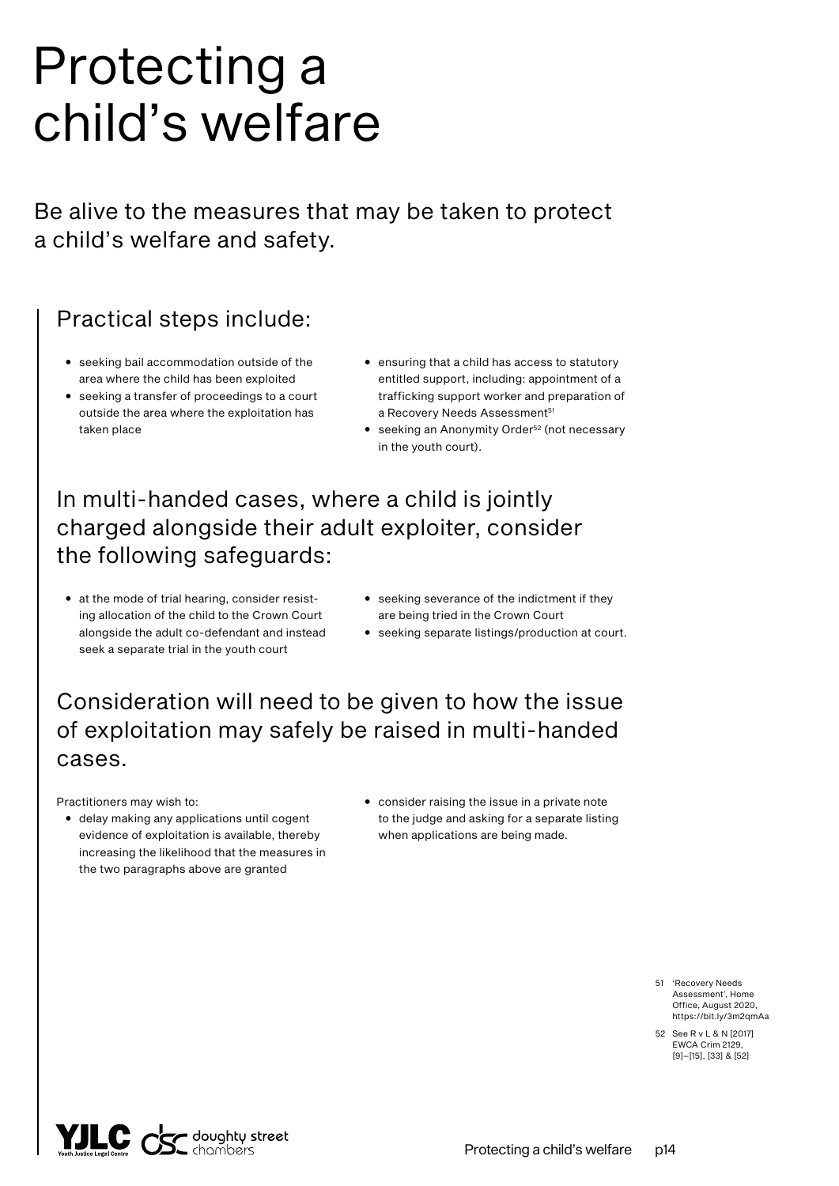# Protecting a child's welfare

Be alive to the measures that may be taken to protect a child's welfare and safety.

### Practical steps include:

- seeking bail accommodation outside of the area where the child has been exploited
- seeking a transfer of proceedings to a court outside the area where the exploitation has taken place
- ensuring that a child has access to statutory entitled support, including: appointment of a trafficking support worker and preparation of a Recovery Needs Assessment<sup>51</sup>
- seeking an Anonymity Order<sup>52</sup> (not necessary in the youth court).

In multi-handed cases, where a child is jointly charged alongside their adult exploiter, consider the following safeguards:

- at the mode of trial hearing, consider resisting allocation of the child to the Crown Court alongside the adult co-defendant and instead seek a separate trial in the youth court
- seeking severance of the indictment if they are being tried in the Crown Court
- seeking separate listings/production at court.

### Consideration will need to be given to how the issue of exploitation may safely be raised in multi-handed cases.

Practitioners may wish to:

- delay making any applications until cogent evidence of exploitation is available, thereby increasing the likelihood that the measures in the two paragraphs above are granted
- consider raising the issue in a private note to the judge and asking for a separate listing when applications are being made.

51 'Recovery Needs Assessment', Home Office, August 2020, <https://bit.ly/3m2qmAa>

52 See R v L & N [2017] EWCA Crim 2129, [9]–[15], [33] & [52]

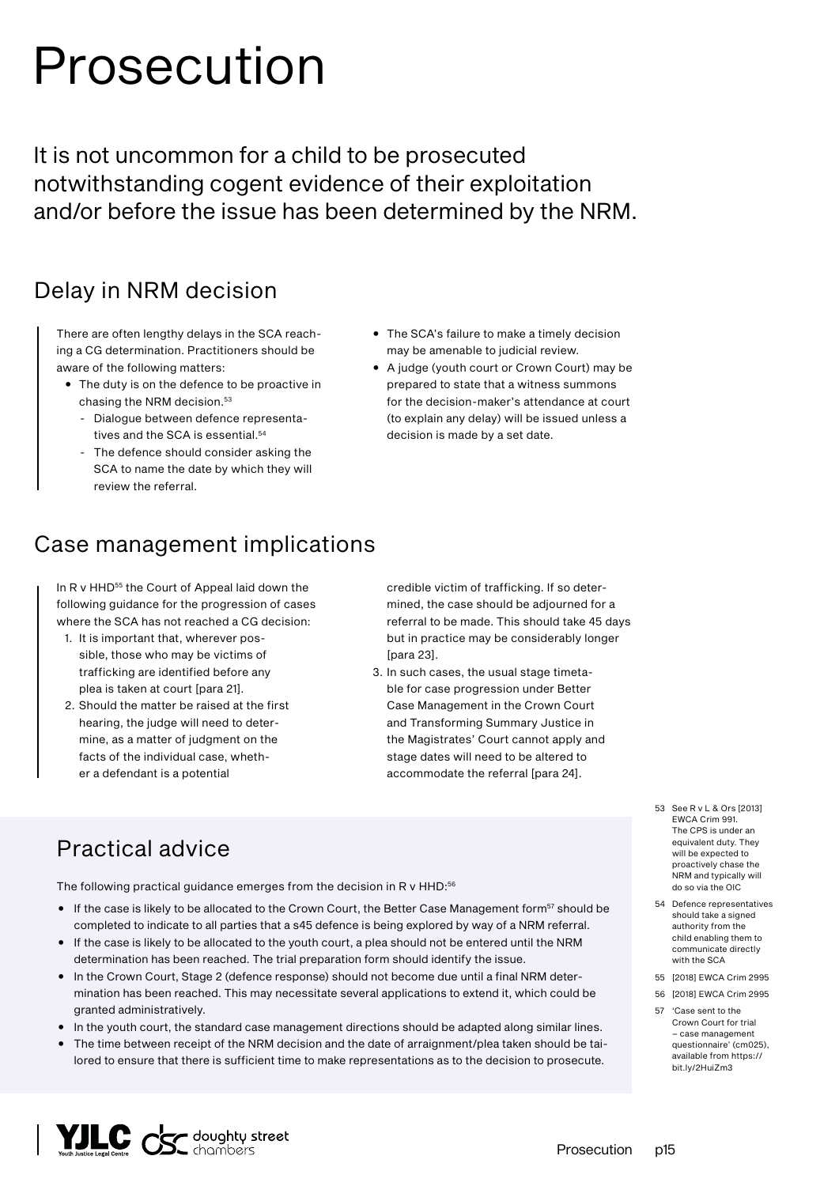# Prosecution

It is not uncommon for a child to be prosecuted notwithstanding cogent evidence of their exploitation and/or before the issue has been determined by the NRM.

### Delay in NRM decision

There are often lengthy delays in the SCA reaching a CG determination. Practitioners should be aware of the following matters:

- The duty is on the defence to be proactive in chasing the NRM decision.<sup>53</sup>
	- Dialogue between defence representatives and the SCA is essential.<sup>54</sup>
	- The defence should consider asking the SCA to name the date by which they will review the referral.
- The SCA's failure to make a timely decision may be amenable to judicial review.
- A judge (youth court or Crown Court) may be prepared to state that a witness summons for the decision-maker's attendance at court (to explain any delay) will be issued unless a decision is made by a set date.

### Case management implications

In R v HHD<sup>55</sup> the Court of Appeal laid down the following guidance for the progression of cases where the SCA has not reached a CG decision:

- 1. It is important that, wherever possible, those who may be victims of trafficking are identified before any plea is taken at court [para 21].
- 2. Should the matter be raised at the first hearing, the judge will need to determine, as a matter of judgment on the facts of the individual case, whether a defendant is a potential

credible victim of trafficking. If so determined, the case should be adjourned for a referral to be made. This should take 45 days but in practice may be considerably longer [para 23].

3. In such cases, the usual stage timetable for case progression under Better Case Management in the Crown Court and Transforming Summary Justice in the Magistrates' Court cannot apply and stage dates will need to be altered to accommodate the referral [para 24].

### Practical advice

The following practical guidance emerges from the decision in R v HHD:<sup>56</sup>

- If the case is likely to be allocated to the Crown Court, the Better Case Management form<sup>57</sup> should be completed to indicate to all parties that a s45 defence is being explored by way of a NRM referral.
- If the case is likely to be allocated to the youth court, a plea should not be entered until the NRM determination has been reached. The trial preparation form should identify the issue.
- In the Crown Court, Stage 2 (defence response) should not become due until a final NRM determination has been reached. This may necessitate several applications to extend it, which could be granted administratively.
- In the youth court, the standard case management directions should be adapted along similar lines.
- The time between receipt of the NRM decision and the date of arraignment/plea taken should be tailored to ensure that there is sufficient time to make representations as to the decision to prosecute.
- 53 See R v L & Ors [2013] EWCA Crim 991. The CPS is under an equivalent duty. They will be expected to proactively chase the NRM and typically will do so via the OIC
- 54 Defence representatives should take a signed authority from the child enabling them to communicate directly with the SCA
- 55 [2018] EWCA Crim 2995
- 56 [2018] EWCA Crim 2995
- 57 'Case sent to the Crown Court for trial – case management questionnaire' (cm025), available from [https://](https://bit.ly/2HuiZm3) [bit.ly/2HuiZm3](https://bit.ly/2HuiZm3)

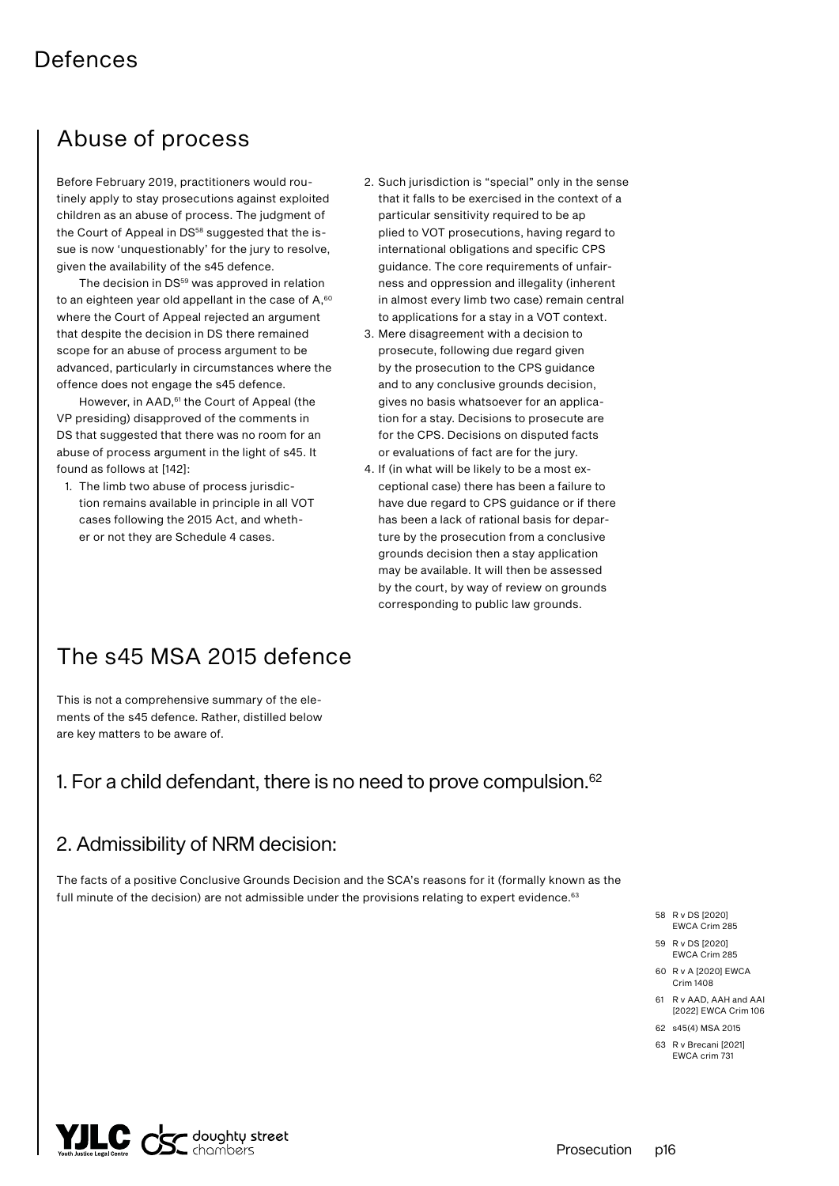### Defences

### Abuse of process

Before February 2019, practitioners would routinely apply to stay prosecutions against exploited children as an abuse of process. The judgment of the Court of Appeal in DS<sup>58</sup> suggested that the issue is now 'unquestionably' for the jury to resolve, given the availability of the s45 defence.

The decision in DS<sup>59</sup> was approved in relation to an eighteen year old appellant in the case of  $A,60$ where the Court of Appeal rejected an argument that despite the decision in DS there remained scope for an abuse of process argument to be advanced, particularly in circumstances where the offence does not engage the s45 defence.

However, in AAD,<sup>61</sup> the Court of Appeal (the VP presiding) disapproved of the comments in DS that suggested that there was no room for an abuse of process argument in the light of s45. It found as follows at [142]:

1. The limb two abuse of process jurisdiction remains available in principle in all VOT cases following the 2015 Act, and whether or not they are Schedule 4 cases.

- 2. Such jurisdiction is "special" only in the sense that it falls to be exercised in the context of a particular sensitivity required to be ap plied to VOT prosecutions, having regard to international obligations and specific CPS guidance. The core requirements of unfairness and oppression and illegality (inherent in almost every limb two case) remain central to applications for a stay in a VOT context.
- 3. Mere disagreement with a decision to prosecute, following due regard given by the prosecution to the CPS guidance and to any conclusive grounds decision, gives no basis whatsoever for an application for a stay. Decisions to prosecute are for the CPS. Decisions on disputed facts or evaluations of fact are for the jury.
- 4. If (in what will be likely to be a most exceptional case) there has been a failure to have due regard to CPS guidance or if there has been a lack of rational basis for departure by the prosecution from a conclusive grounds decision then a stay application may be available. It will then be assessed by the court, by way of review on grounds corresponding to public law grounds.

### The s45 MSA 2015 defence

This is not a comprehensive summary of the elements of the s45 defence. Rather, distilled below are key matters to be aware of.

#### 1. For a child defendant, there is no need to prove compulsion.<sup>62</sup>

#### 2. Admissibility of NRM decision:

The facts of a positive Conclusive Grounds Decision and the SCA's reasons for it (formally known as the full minute of the decision) are not admissible under the provisions relating to expert evidence.<sup>63</sup>

- 58 R v DS [2020] EWCA Crim 285
- 59 R v DS [2020] EWCA Crim 285
- 60 R v A [2020] EWCA Crim 1408
- 61 R v AAD, AAH and AAI [2022] EWCA Crim 106
- 62 s45(4) MSA 2015
- 63 R v Brecani [2021] EWCA crim 731

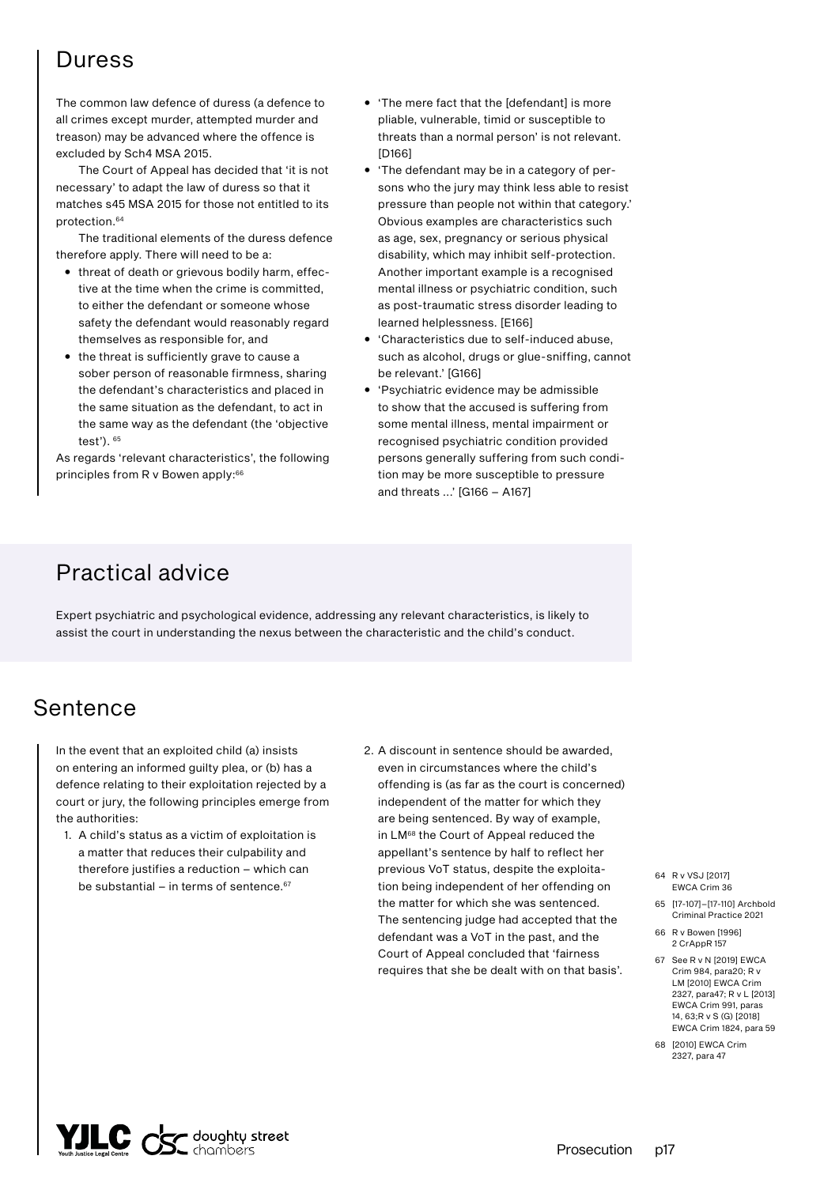### Duress

The common law defence of duress (a defence to all crimes except murder, attempted murder and treason) may be advanced where the offence is excluded by Sch4 MSA 2015.

The Court of Appeal has decided that 'it is not necessary' to adapt the law of duress so that it matches s45 MSA 2015 for those not entitled to its protection.64

The traditional elements of the duress defence therefore apply. There will need to be a:

- threat of death or grievous bodily harm, effective at the time when the crime is committed, to either the defendant or someone whose safety the defendant would reasonably regard themselves as responsible for, and
- the threat is sufficiently grave to cause a sober person of reasonable firmness, sharing the defendant's characteristics and placed in the same situation as the defendant, to act in the same way as the defendant (the 'objective test'). 65

As regards 'relevant characteristics', the following principles from R v Bowen apply:<sup>66</sup>

- 'The mere fact that the [defendant] is more pliable, vulnerable, timid or susceptible to threats than a normal person' is not relevant. [D166]
- 'The defendant may be in a category of persons who the jury may think less able to resist pressure than people not within that category.' Obvious examples are characteristics such as age, sex, pregnancy or serious physical disability, which may inhibit self-protection. Another important example is a recognised mental illness or psychiatric condition, such as post-traumatic stress disorder leading to learned helplessness. [E166]
- 'Characteristics due to self-induced abuse, such as alcohol, drugs or glue-sniffing, cannot be relevant.' [G166]
- 'Psychiatric evidence may be admissible to show that the accused is suffering from some mental illness, mental impairment or recognised psychiatric condition provided persons generally suffering from such condition may be more susceptible to pressure and threats ...' [G166 – A167]

### Practical advice

Expert psychiatric and psychological evidence, addressing any relevant characteristics, is likely to assist the court in understanding the nexus between the characteristic and the child's conduct.

### Sentence

In the event that an exploited child (a) insists on entering an informed guilty plea, or (b) has a defence relating to their exploitation rejected by a court or jury, the following principles emerge from the authorities:

- 1. A child's status as a victim of exploitation is a matter that reduces their culpability and therefore justifies a reduction – which can be substantial – in terms of sentence. $67$
- 2. A discount in sentence should be awarded even in circumstances where the child's offending is (as far as the court is concerned) independent of the matter for which they are being sentenced. By way of example, in LM68 the Court of Appeal reduced the appellant's sentence by half to reflect her previous VoT status, despite the exploitation being independent of her offending on the matter for which she was sentenced. The sentencing judge had accepted that the defendant was a VoT in the past, and the Court of Appeal concluded that 'fairness requires that she be dealt with on that basis'.
- 64 R v VSJ [2017] EWCA Crim 36
- 65 [17-107]–[17-110] Archbold Criminal Practice 2021
- 66 R v Bowen [1996] 2 CrAppR 157
- 67 See R v N [2019] EWCA Crim 984, para20; R v LM [2010] EWCA Crim 2327, para47; R v L [2013] EWCA Crim 991, paras 14, 63;R v S (G) [2018] EWCA Crim 1824, para 59
- 68 [2010] EWCA Crim 2327, para 47

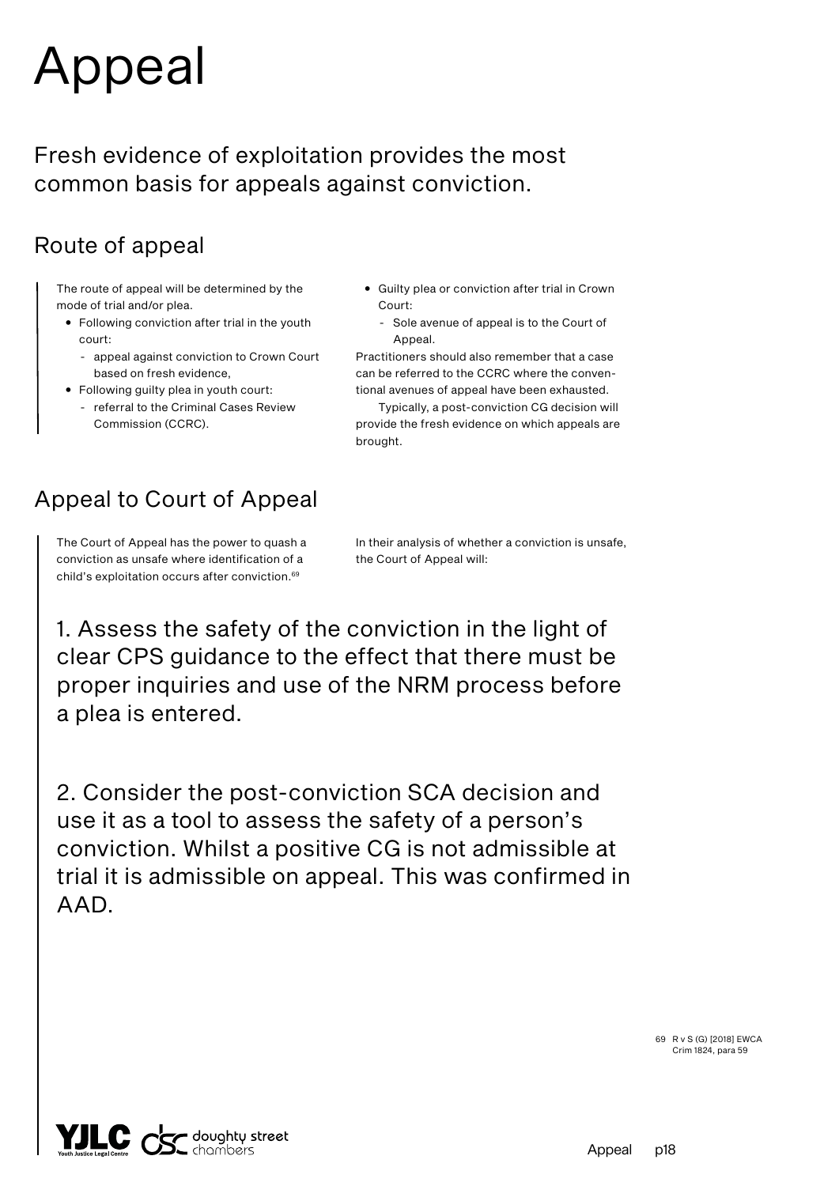# Appeal

Fresh evidence of exploitation provides the most common basis for appeals against conviction.

### Route of appeal

The route of appeal will be determined by the mode of trial and/or plea.

- Following conviction after trial in the youth court:
	- appeal against conviction to Crown Court based on fresh evidence,
- Following guilty plea in youth court:
	- referral to the Criminal Cases Review Commission (CCRC).
- Guilty plea or conviction after trial in Crown Court:
	- Sole avenue of appeal is to the Court of Appeal.

Practitioners should also remember that a case can be referred to the CCRC where the conventional avenues of appeal have been exhausted.

Typically, a post-conviction CG decision will provide the fresh evidence on which appeals are brought.

### Appeal to Court of Appeal

The Court of Appeal has the power to quash a conviction as unsafe where identification of a child's exploitation occurs after conviction.<sup>69</sup>

In their analysis of whether a conviction is unsafe, the Court of Appeal will:

1. Assess the safety of the conviction in the light of clear CPS guidance to the effect that there must be proper inquiries and use of the NRM process before a plea is entered.

2. Consider the post-conviction SCA decision and use it as a tool to assess the safety of a person's conviction. Whilst a positive CG is not admissible at trial it is admissible on appeal. This was confirmed in AAD.

> 69 R v S (G) [2018] EWCA Crim 1824, para 59

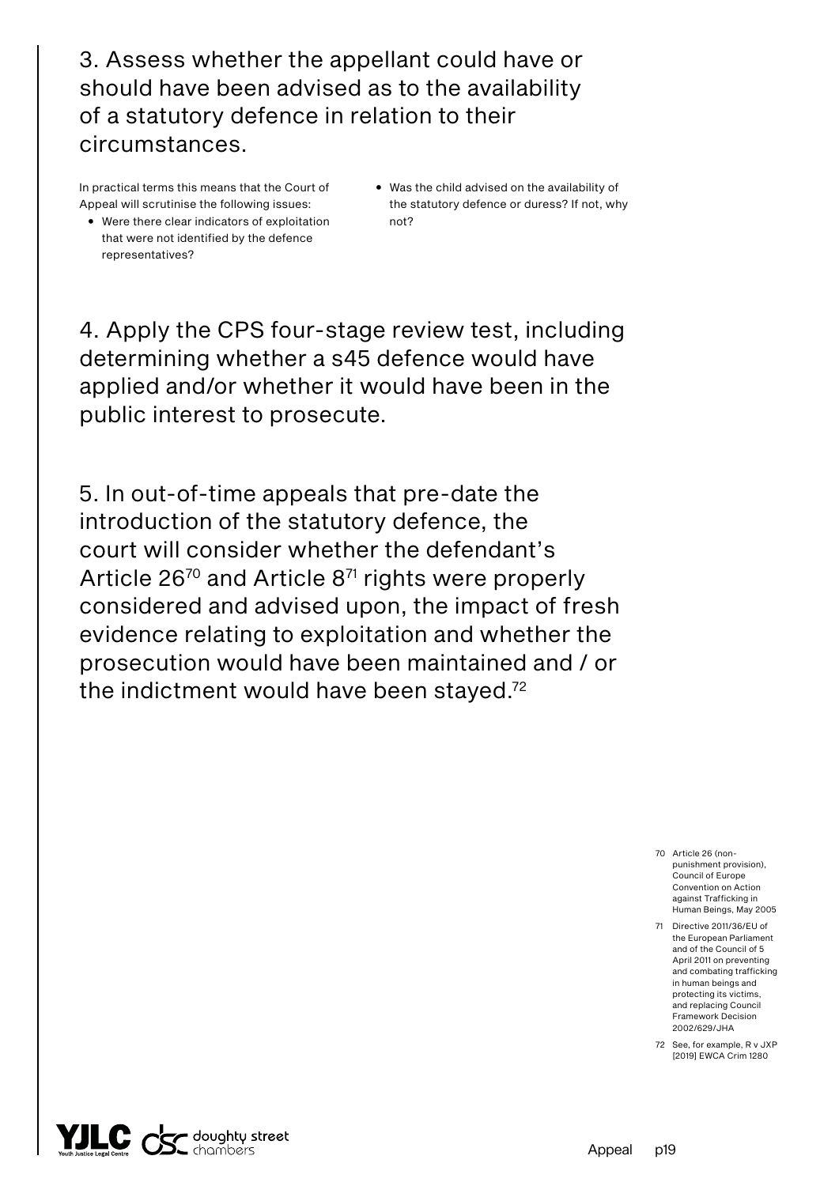3. Assess whether the appellant could have or should have been advised as to the availability of a statutory defence in relation to their circumstances.

In practical terms this means that the Court of Appeal will scrutinise the following issues:

- Were there clear indicators of exploitation that were not identified by the defence representatives?
- Was the child advised on the availability of the statutory defence or duress? If not, why not?

4. Apply the CPS four-stage review test, including determining whether a s45 defence would have applied and/or whether it would have been in the public interest to prosecute.

5. In out-of-time appeals that pre-date the introduction of the statutory defence, the court will consider whether the defendant's Article 26<sup>70</sup> and Article 8<sup>71</sup> rights were properly considered and advised upon, the impact of fresh evidence relating to exploitation and whether the prosecution would have been maintained and / or the indictment would have been stayed.72

- 70 Article 26 (nonpunishment provision), Council of Europe Convention on Action against Trafficking in Human Beings, May 2005
- 71 Directive 2011/36/EU of the European Parliament and of the Council of 5 April 2011 on preventing and combating trafficking in human beings and protecting its victims, and replacing Council Framework Decision 2002/629/JHA
- 72 See, for example, R v JXP [2019] EWCA Crim 1280

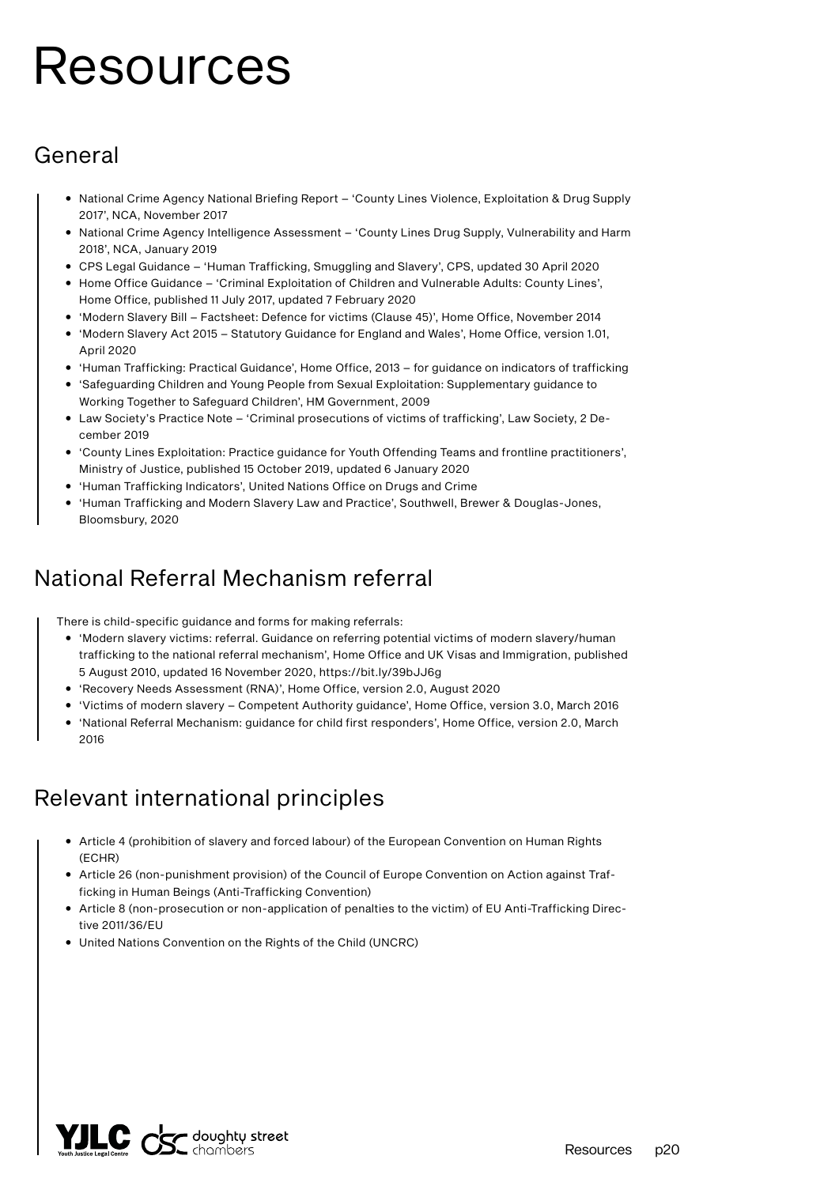### Resources

### General

- National Crime Agency National Briefing Report 'County Lines Violence, Exploitation & Drug Supply 2017', NCA, November 2017
- National Crime Agency Intelligence Assessment 'County Lines Drug Supply, Vulnerability and Harm 2018', NCA, January 2019
- CPS Legal Guidance 'Human Trafficking, Smuggling and Slavery', CPS, updated 30 April 2020
- Home Office Guidance 'Criminal Exploitation of Children and Vulnerable Adults: County Lines', Home Office, published 11 July 2017, updated 7 February 2020
- 'Modern Slavery Bill Factsheet: Defence for victims (Clause 45)', Home Office, November 2014
- 'Modern Slavery Act 2015 Statutory Guidance for England and Wales', Home Office, version 1.01, April 2020
- 'Human Trafficking: Practical Guidance', Home Office, 2013 for guidance on indicators of trafficking
- 'Safeguarding Children and Young People from Sexual Exploitation: Supplementary guidance to Working Together to Safeguard Children', HM Government, 2009
- Law Society's Practice Note 'Criminal prosecutions of victims of trafficking', Law Society, 2 December 2019
- 'County Lines Exploitation: Practice guidance for Youth Offending Teams and frontline practitioners', Ministry of Justice, published 15 October 2019, updated 6 January 2020
- 'Human Trafficking Indicators', United Nations Office on Drugs and Crime
- 'Human Trafficking and Modern Slavery Law and Practice', Southwell, Brewer & Douglas-Jones, Bloomsbury, 2020

### National Referral Mechanism referral

There is child-specific guidance and forms for making referrals:

- 'Modern slavery victims: referral. Guidance on referring potential victims of modern slavery/human trafficking to the national referral mechanism', Home Office and UK Visas and Immigration, published 5 August 2010, updated 16 November 2020, https://bit.ly/39bJJ6g
- 'Recovery Needs Assessment (RNA)', Home Office, version 2.0, August 2020
- 'Victims of modern slavery Competent Authority guidance', Home Office, version 3.0, March 2016
- 'National Referral Mechanism: guidance for child first responders', Home Office, version 2.0, March 2016

### Relevant international principles

- Article 4 (prohibition of slavery and forced labour) of the European Convention on Human Rights (ECHR)
- Article 26 (non-punishment provision) of the Council of Europe Convention on Action against Trafficking in Human Beings (Anti-Trafficking Convention)
- Article 8 (non-prosecution or non-application of penalties to the victim) of EU Anti-Trafficking Directive 2011/36/EU
- United Nations Convention on the Rights of the Child (UNCRC)